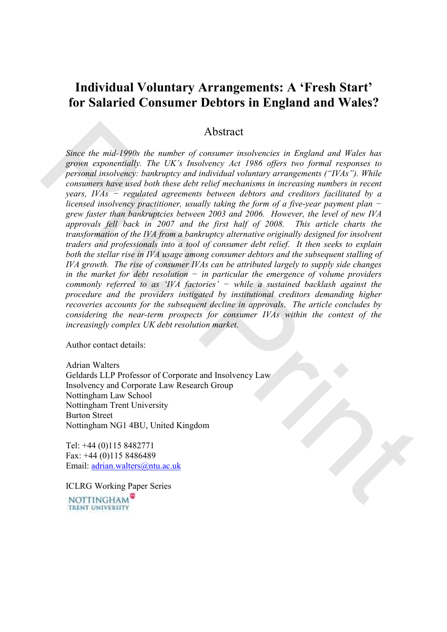# Individual Voluntary Arrangements: A 'Fresh Start' for Salaried Consumer Debtors in England and Wales?

# Abstract

Since the mid-1990s the number of consumer insolvencies in England and Wales has grown exponentially. The UK's Insolvency Act 1986 offers two formal responses to personal insolvency: bankruptcy and individual voluntary arrangements ("IVAs"). While consumers have used both these debt relief mechanisms in increasing numbers in recent years, IVAs − regulated agreements between debtors and creditors facilitated by a licensed insolvency practitioner, usually taking the form of a five-year payment plan  $$ grew faster than bankruptcies between 2003 and 2006. However, the level of new IVA approvals fell back in 2007 and the first half of 2008. This article charts the transformation of the IVA from a bankruptcy alternative originally designed for insolvent traders and professionals into a tool of consumer debt relief. It then seeks to explain both the stellar rise in IVA usage among consumer debtors and the subsequent stalling of IVA growth. The rise of consumer IVAs can be attributed largely to supply side changes in the market for debt resolution  $-$  in particular the emergence of volume providers commonly referred to as 'IVA factories'  $-$  while a sustained backlash against the procedure and the providers instigated by institutional creditors demanding higher recoveries accounts for the subsequent decline in approvals. The article concludes by considering the near-term prospects for consumer IVAs within the context of the increasingly complex UK debt resolution market. Abstract<br>
Since the mail-1990s the number of consumer insolvencies in England and Wales has<br>
grown exponentially. The UK's Insolvency Act 1986 offers too formal responses to<br>
personal numbersy: bankruptcy and individual v

Author contact details:

Adrian Walters Geldards LLP Professor of Corporate and Insolvency Law Insolvency and Corporate Law Research Group Nottingham Law School Nottingham Trent University Burton Street Nottingham NG1 4BU, United Kingdom

Tel: +44 (0)115 8482771 Fax: +44 (0)115 8486489 Email: adrian.walters@ntu.ac.uk

ICLRG Working Paper Series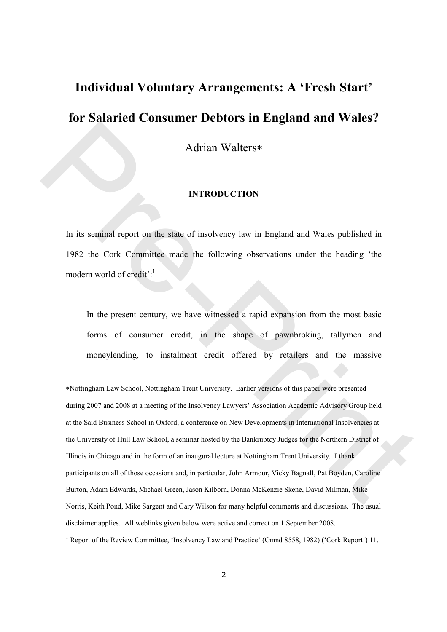# Individual Voluntary Arrangements: A 'Fresh Start' for Salaried Consumer Debtors in England and Wales?

Adrian Walters∗

#### INTRODUCTION

In its seminal report on the state of insolvency law in England and Wales published in 1982 the Cork Committee made the following observations under the heading 'the modern world of credit':<sup>1</sup>

In the present century, we have witnessed a rapid expansion from the most basic forms of consumer credit, in the shape of pawnbroking, tallymen and moneylending, to instalment credit offered by retailers and the massive

<sup>∗</sup>Nottingham Law School, Nottingham Trent University. Earlier versions of this paper were presented during 2007 and 2008 at a meeting of the Insolvency Lawyers' Association Academic Advisory Group held at the Said Business School in Oxford, a conference on New Developments in International Insolvencies at the University of Hull Law School, a seminar hosted by the Bankruptcy Judges for the Northern District of Illinois in Chicago and in the form of an inaugural lecture at Nottingham Trent University. I thank participants on all of those occasions and, in particular, John Armour, Vicky Bagnall, Pat Boyden, Caroline Burton, Adam Edwards, Michael Green, Jason Kilborn, Donna McKenzie Skene, David Milman, Mike Norris, Keith Pond, Mike Sargent and Gary Wilson for many helpful comments and discussions. The usual disclaimer applies. All weblinks given below were active and correct on 1 September 2008. Marian Walters\*<br>
Marian Walters\*<br>
INTRODUCTION<br>
In its seminal report on the state of insolvency law in England and Wales published in<br>
1982 the Cork Committee made the following observations under the heading "the<br>
modern

<sup>&</sup>lt;sup>1</sup> Report of the Review Committee, 'Insolvency Law and Practice' (Cmnd 8558, 1982) ('Cork Report') 11.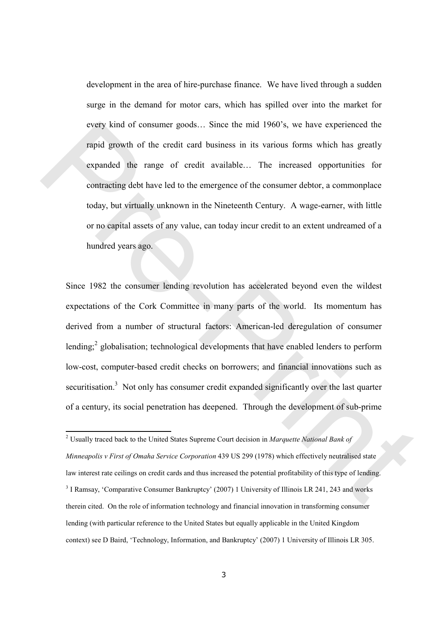development in the area of hire-purchase finance. We have lived through a sudden surge in the demand for motor cars, which has spilled over into the market for every kind of consumer goods… Since the mid 1960's, we have experienced the rapid growth of the credit card business in its various forms which has greatly expanded the range of credit available… The increased opportunities for contracting debt have led to the emergence of the consumer debtor, a commonplace today, but virtually unknown in the Nineteenth Century. A wage-earner, with little or no capital assets of any value, can today incur credit to an extent undreamed of a hundred years ago.

Since 1982 the consumer lending revolution has accelerated beyond even the wildest expectations of the Cork Committee in many parts of the world. Its momentum has derived from a number of structural factors: American-led deregulation of consumer lending;<sup>2</sup> globalisation; technological developments that have enabled lenders to perform low-cost, computer-based credit checks on borrowers; and financial innovations such as securitisation.<sup>3</sup> Not only has consumer credit expanded significantly over the last quarter of a century, its social penetration has deepened. Through the development of sub-prime every kind of consumer goods... Since the mid 1960's, we have experienced the<br>rapid growth of the credit card business in its various forms which has greatly<br>expanded the range of credit available... The increased opportu

<sup>&</sup>lt;sup>2</sup> Usually traced back to the United States Supreme Court decision in Marquette National Bank of Minneapolis v First of Omaha Service Corporation 439 US 299 (1978) which effectively neutralised state law interest rate ceilings on credit cards and thus increased the potential profitability of this type of lending. <sup>3</sup> I Ramsay, 'Comparative Consumer Bankruptcy' (2007) 1 University of Illinois LR 241, 243 and works therein cited. On the role of information technology and financial innovation in transforming consumer lending (with particular reference to the United States but equally applicable in the United Kingdom context) see D Baird, 'Technology, Information, and Bankruptcy' (2007) 1 University of Illinois LR 305.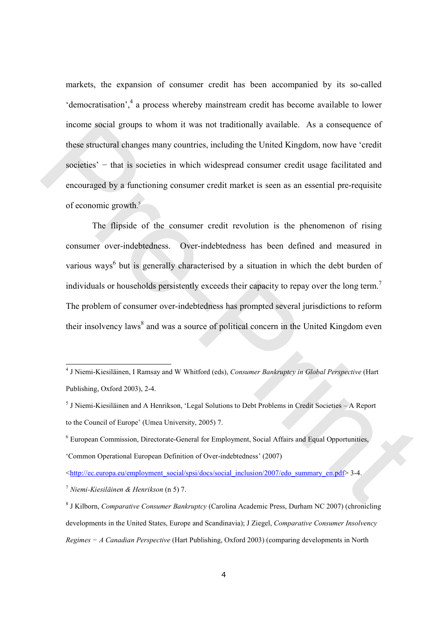markets, the expansion of consumer credit has been accompanied by its so-called 'democratisation',<sup>4</sup> a process whereby mainstream credit has become available to lower income social groups to whom it was not traditionally available. As a consequence of these structural changes many countries, including the United Kingdom, now have 'credit societies' – that is societies in which widespread consumer credit usage facilitated and encouraged by a functioning consumer credit market is seen as an essential pre-requisite of economic growth. 5

 The flipside of the consumer credit revolution is the phenomenon of rising consumer over-indebtedness. Over-indebtedness has been defined and measured in various ways<sup>6</sup> but is generally characterised by a situation in which the debt burden of individuals or households persistently exceeds their capacity to repay over the long term.<sup>7</sup> The problem of consumer over-indebtedness has prompted several jurisdictions to reform their insolvency laws<sup>8</sup> and was a source of political concern in the United Kingdom even income social groups to whom it was not traditionally available. As a consequence of<br>these structural changes many countries, including the United Kingdom, now have 'credit<br>societies' – that is societies in which widesprea

 4 J Niemi-Kiesiläinen, I Ramsay and W Whitford (eds), Consumer Bankruptcy in Global Perspective (Hart Publishing, Oxford 2003), 2-4.

<sup>&</sup>lt;sup>5</sup> J Niemi-Kiesiläinen and A Henrikson, 'Legal Solutions to Debt Problems in Credit Societies - A Report to the Council of Europe' (Umea University, 2005) 7.

<sup>&</sup>lt;sup>6</sup> European Commission, Directorate-General for Employment, Social Affairs and Equal Opportunities, 'Common Operational European Definition of Over-indebtedness' (2007)

<sup>&</sup>lt;http://ec.europa.eu/employment\_social/spsi/docs/social\_inclusion/2007/edo\_summary\_en.pdf> 3-4.

 $^7$  Niemi-Kiesiläinen & Henrikson (n 5) 7.

<sup>&</sup>lt;sup>8</sup> J Kilborn, Comparative Consumer Bankruptcy (Carolina Academic Press, Durham NC 2007) (chronicling developments in the United States, Europe and Scandinavia); J Ziegel, Comparative Consumer Insolvency Regimes − A Canadian Perspective (Hart Publishing, Oxford 2003) (comparing developments in North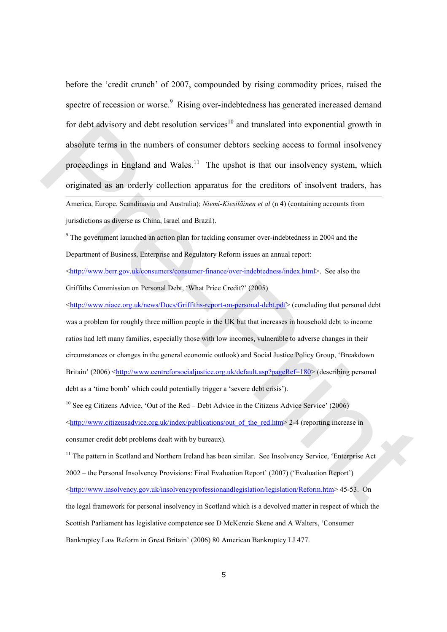before the 'credit crunch' of 2007, compounded by rising commodity prices, raised the spectre of recession or worse.<sup>9</sup> Rising over-indebtedness has generated increased demand for debt advisory and debt resolution services<sup>10</sup> and translated into exponential growth in absolute terms in the numbers of consumer debtors seeking access to formal insolvency proceedings in England and Wales. $11$  The upshot is that our insolvency system, which originated as an orderly collection apparatus for the creditors of insolvent traders, has  $\overline{a}$ America, Europe, Scandinavia and Australia); Niemi-Kiesiläinen et al (n 4) (containing accounts from

jurisdictions as diverse as China, Israel and Brazil).

<sup>9</sup> The government launched an action plan for tackling consumer over-indebtedness in 2004 and the Department of Business, Enterprise and Regulatory Reform issues an annual report:

<http://www.berr.gov.uk/consumers/consumer-finance/over-indebtedness/index.html>. See also the Griffiths Commission on Personal Debt, 'What Price Credit?' (2005)

<http://www.niace.org.uk/news/Docs/Griffiths-report-on-personal-debt.pdf> (concluding that personal debt was a problem for roughly three million people in the UK but that increases in household debt to income ratios had left many families, especially those with low incomes, vulnerable to adverse changes in their circumstances or changes in the general economic outlook) and Social Justice Policy Group, 'Breakdown Britain' (2006) <http://www.centreforsocialjustice.org.uk/default.asp?pageRef=180> (describing personal debt as a 'time bomb' which could potentially trigger a 'severe debt crisis'). for debt advisory and debt resolution services" and translated into exponential growth in<br>absolute terms in the numbers of consumer debtors secking access to formal insolvency<br>proceedings in England and Wales.<sup>11</sup> The ups

 $10$  See eg Citizens Advice, 'Out of the Red – Debt Advice in the Citizens Advice Service' (2006) <http://www.citizensadvice.org.uk/index/publications/out\_of\_the\_red.htm> 2-4 (reporting increase in consumer credit debt problems dealt with by bureaux).

<sup>11</sup> The pattern in Scotland and Northern Ireland has been similar. See Insolvency Service, 'Enterprise Act 2002 – the Personal Insolvency Provisions: Final Evaluation Report' (2007) ('Evaluation Report') <http://www.insolvency.gov.uk/insolvencyprofessionandlegislation/legislation/Reform.htm> 45-53. On the legal framework for personal insolvency in Scotland which is a devolved matter in respect of which the Scottish Parliament has legislative competence see D McKenzie Skene and A Walters, 'Consumer Bankruptcy Law Reform in Great Britain' (2006) 80 American Bankruptcy LJ 477.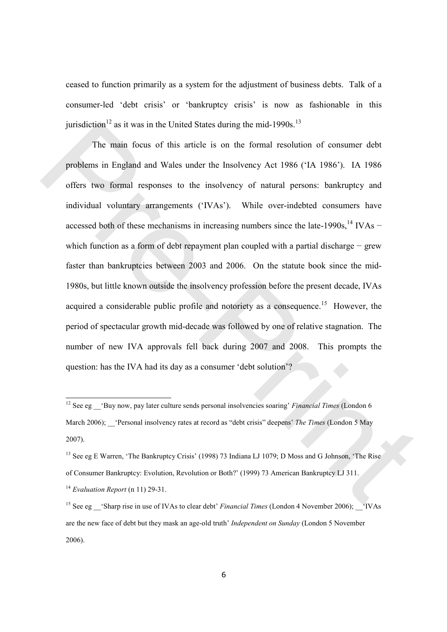ceased to function primarily as a system for the adjustment of business debts. Talk of a consumer-led 'debt crisis' or 'bankruptcy crisis' is now as fashionable in this jurisdiction<sup>12</sup> as it was in the United States during the mid-1990s.<sup>13</sup>

The main focus of this article is on the formal resolution of consumer debt problems in England and Wales under the Insolvency Act 1986 ('IA 1986'). IA 1986 offers two formal responses to the insolvency of natural persons: bankruptcy and individual voluntary arrangements ('IVAs'). While over-indebted consumers have accessed both of these mechanisms in increasing numbers since the late-1990s,<sup>14</sup> IVAs − which function as a form of debt repayment plan coupled with a partial discharge − grew faster than bankruptcies between 2003 and 2006. On the statute book since the mid-1980s, but little known outside the insolvency profession before the present decade, IVAs acquired a considerable public profile and notoriety as a consequence.<sup>15</sup> However, the period of spectacular growth mid-decade was followed by one of relative stagnation. The number of new IVA approvals fell back during 2007 and 2008. This prompts the question: has the IVA had its day as a consumer 'debt solution'? jurisdiction" as it was in the United States during the mid-1990s."<br>
The main focus of this article is on the formal resolution of consumer debt<br>
problems in England and Wales under the Insolvency Act 1986 (TA 1986). LA 1

<sup>&</sup>lt;sup>12</sup> See eg  $\cdot$ 'Buy now, pay later culture sends personal insolvencies soaring' Financial Times (London 6 March 2006); 'Personal insolvency rates at record as "debt crisis" deepens' The Times (London 5 May 2007).

<sup>&</sup>lt;sup>13</sup> See eg E Warren, 'The Bankruptcy Crisis' (1998) 73 Indiana LJ 1079; D Moss and G Johnson, 'The Rise of Consumer Bankruptcy: Evolution, Revolution or Both?' (1999) 73 American Bankruptcy LJ 311.  $14$  Evaluation Report (n 11) 29-31.

<sup>&</sup>lt;sup>15</sup> See eg Sharp rise in use of IVAs to clear debt' Financial Times (London 4 November 2006);  $\cdot$  'IVAs' are the new face of debt but they mask an age-old truth' Independent on Sunday (London 5 November 2006).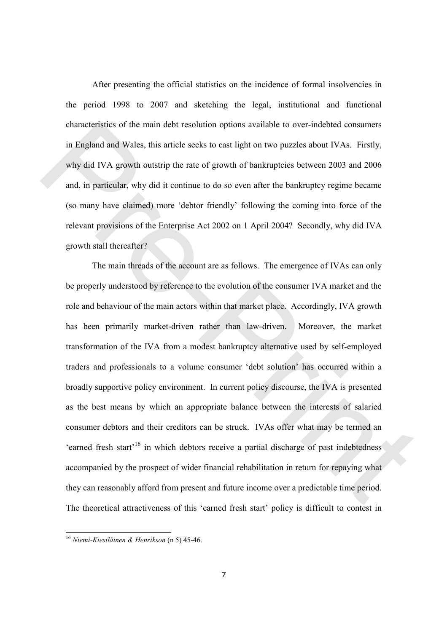After presenting the official statistics on the incidence of formal insolvencies in the period 1998 to 2007 and sketching the legal, institutional and functional characteristics of the main debt resolution options available to over-indebted consumers in England and Wales, this article seeks to cast light on two puzzles about IVAs. Firstly, why did IVA growth outstrip the rate of growth of bankruptcies between 2003 and 2006 and, in particular, why did it continue to do so even after the bankruptcy regime became (so many have claimed) more 'debtor friendly' following the coming into force of the relevant provisions of the Enterprise Act 2002 on 1 April 2004? Secondly, why did IVA growth stall thereafter?

The main threads of the account are as follows. The emergence of IVAs can only be properly understood by reference to the evolution of the consumer IVA market and the role and behaviour of the main actors within that market place. Accordingly, IVA growth has been primarily market-driven rather than law-driven. Moreover, the market transformation of the IVA from a modest bankruptcy alternative used by self-employed traders and professionals to a volume consumer 'debt solution' has occurred within a broadly supportive policy environment. In current policy discourse, the IVA is presented as the best means by which an appropriate balance between the interests of salaried consumer debtors and their creditors can be struck. IVAs offer what may be termed an 'earned fresh start<sup>'16</sup> in which debtors receive a partial discharge of past indebtedness accompanied by the prospect of wider financial rehabilitation in return for repaying what they can reasonably afford from present and future income over a predictable time period. The theoretical attractiveness of this 'earned fresh start' policy is difficult to contest in characteristics of the main debt resolution options available to over-indehted consumers<br>in England and Wales, this article secks to east light on two pazzles about IVAs. Firstly,<br>why did IVA growth outstrip the rate of g

 $\overline{\phantom{a}}$ 

<sup>&</sup>lt;sup>16</sup> Niemi-Kiesiläinen & Henrikson (n 5) 45-46.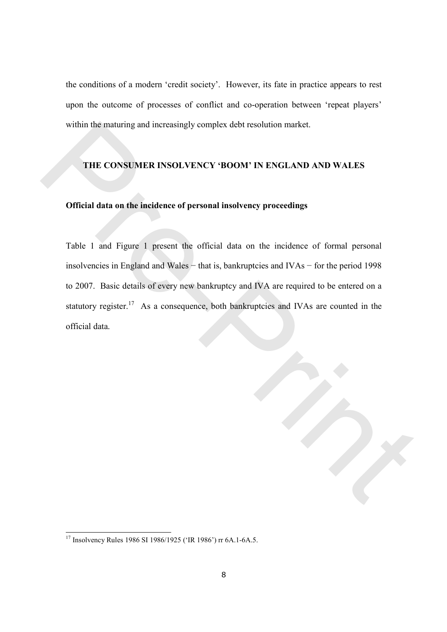the conditions of a modern 'credit society'. However, its fate in practice appears to rest upon the outcome of processes of conflict and co-operation between 'repeat players' within the maturing and increasingly complex debt resolution market.

#### THE CONSUMER INSOLVENCY 'BOOM' IN ENGLAND AND WALES

# Official data on the incidence of personal insolvency proceedings

Table 1 and Figure 1 present the official data on the incidence of formal personal insolvencies in England and Wales − that is, bankruptcies and IVAs − for the period 1998 to 2007. Basic details of every new bankruptcy and IVA are required to be entered on a statutory register.<sup>17</sup> As a consequence, both bankruptcies and IVAs are counted in the official data. within the maturing and increasingly complex debt resolution market.<br>
THE CONSUMER INSOLVENCY 'BOOM' IN ENGLAND AND WALES<br>
Official data on the incidence of personal insolvency proceedings<br>
Table 1 and Figure 1 present the

 $\overline{\phantom{a}}$ 

<sup>&</sup>lt;sup>17</sup> Insolvency Rules 1986 SI 1986/1925 ('IR 1986') rr 6A.1-6A.5.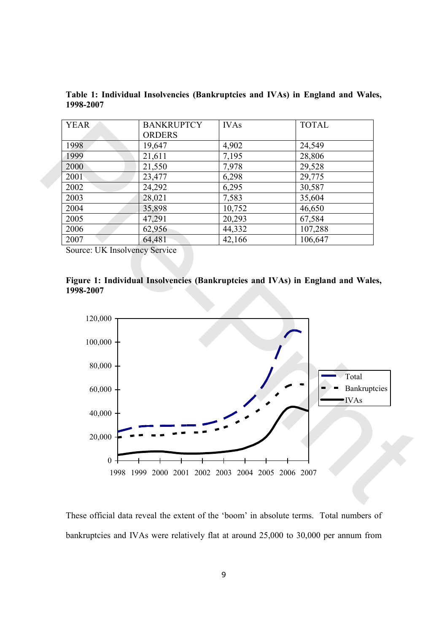| <b>YEAR</b> | <b>BANKRUPTCY</b> | <b>IVAs</b> | <b>TOTAL</b> |
|-------------|-------------------|-------------|--------------|
|             | <b>ORDERS</b>     |             |              |
| 1998        | 19,647            | 4,902       | 24,549       |
| 1999        | 21,611            | 7,195       | 28,806       |
| 2000        | 21,550            | 7,978       | 29,528       |
| 2001        | 23,477            | 6,298       | 29,775       |
| 2002        | 24,292            | 6,295       | 30,587       |
| 2003        | 28,021            | 7,583       | 35,604       |
| 2004        | 35,898            | 10,752      | 46,650       |
| 2005        | 47,291            | 20,293      | 67,584       |
| 2006        | 62,956            | 44,332      | 107,288      |
| 2007        | 64,481            | 42,166      | 106,647      |

Table 1: Individual Insolvencies (Bankruptcies and IVAs) in England and Wales, 1998-2007

Source: UK Insolvency Service





These official data reveal the extent of the 'boom' in absolute terms. Total numbers of bankruptcies and IVAs were relatively flat at around 25,000 to 30,000 per annum from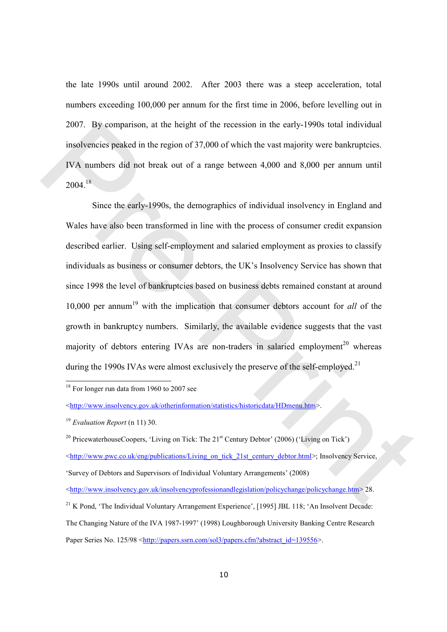the late 1990s until around 2002. After 2003 there was a steep acceleration, total numbers exceeding 100,000 per annum for the first time in 2006, before levelling out in 2007. By comparison, at the height of the recession in the early-1990s total individual insolvencies peaked in the region of 37,000 of which the vast majority were bankruptcies. IVA numbers did not break out of a range between 4,000 and 8,000 per annum until  $2004.18$ 

Since the early-1990s, the demographics of individual insolvency in England and Wales have also been transformed in line with the process of consumer credit expansion described earlier. Using self-employment and salaried employment as proxies to classify individuals as business or consumer debtors, the UK's Insolvency Service has shown that since 1998 the level of bankruptcies based on business debts remained constant at around 10,000 per annum<sup>19</sup> with the implication that consumer debtors account for *all* of the growth in bankruptcy numbers. Similarly, the available evidence suggests that the vast majority of debtors entering IVAs are non-traders in salaried employment<sup>20</sup> whereas during the 1990s IVAs were almost exclusively the preserve of the self-employed.<sup>21</sup> 2007. By comparison, at the height of the recession in the early-1990s total individual<br>insolvencies peaked in the region of 37,000 of which the vast majority were bankruptcies.<br>IVA numbers did not break out of a range be

<sup>18</sup> For longer run data from 1960 to 2007 see

 $\overline{a}$ 

<http://www.pwc.co.uk/eng/publications/Living\_on\_tick\_21st\_century\_debtor.html>; Insolvency Service,

<sup>&</sup>lt;http://www.insolvency.gov.uk/otherinformation/statistics/historicdata/HDmenu.htm>.

 $19$  Evaluation Report (n 11) 30.

<sup>&</sup>lt;sup>20</sup> PricewaterhouseCoopers, 'Living on Tick: The  $21<sup>st</sup>$  Century Debtor' (2006) ('Living on Tick')

<sup>&#</sup>x27;Survey of Debtors and Supervisors of Individual Voluntary Arrangements' (2008)

<sup>&</sup>lt;http://www.insolvency.gov.uk/insolvencyprofessionandlegislation/policychange/policychange.htm> 28.

<sup>&</sup>lt;sup>21</sup> K Pond. 'The Individual Voluntary Arrangement Experience', [1995] JBL 118; 'An Insolvent Decade:

The Changing Nature of the IVA 1987-1997' (1998) Loughborough University Banking Centre Research Paper Series No. 125/98 <http://papers.ssrn.com/sol3/papers.cfm?abstract\_id=139556>.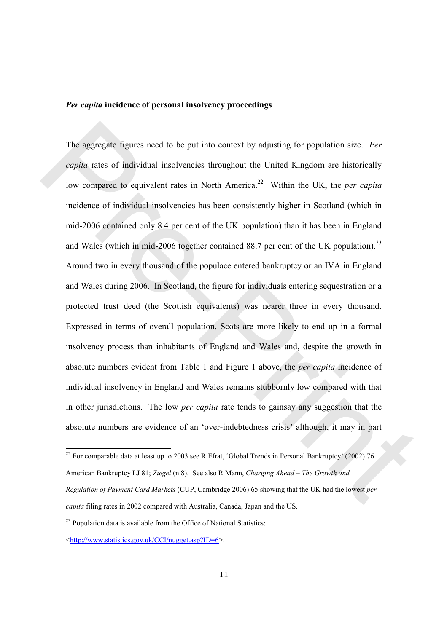# Per capita incidence of personal insolvency proceedings

The aggregate figures need to be put into context by adjusting for population size. Per capita rates of individual insolvencies throughout the United Kingdom are historically low compared to equivalent rates in North America.<sup>22</sup> Within the UK, the *per capita* incidence of individual insolvencies has been consistently higher in Scotland (which in mid-2006 contained only 8.4 per cent of the UK population) than it has been in England and Wales (which in mid-2006 together contained 88.7 per cent of the UK population).<sup>23</sup> Around two in every thousand of the populace entered bankruptcy or an IVA in England and Wales during 2006. In Scotland, the figure for individuals entering sequestration or a protected trust deed (the Scottish equivalents) was nearer three in every thousand. Expressed in terms of overall population, Scots are more likely to end up in a formal insolvency process than inhabitants of England and Wales and, despite the growth in absolute numbers evident from Table 1 and Figure 1 above, the per capita incidence of individual insolvency in England and Wales remains stubbornly low compared with that in other jurisdictions. The low *per capita* rate tends to gainsay any suggestion that the absolute numbers are evidence of an 'over-indebtedness crisis' although, it may in part The aggregate figures need to be put into context by adjusting for population size. Per<br>
copila rates of individual insolvencies throughout the United Kingdom are historically<br>
low compared to equivalent rates in North Am

<sup>&</sup>lt;sup>22</sup> For comparable data at least up to 2003 see R Efrat, 'Global Trends in Personal Bankruptcy' (2002) 76 American Bankruptcy LJ 81; Ziegel (n 8). See also R Mann, Charging Ahead – The Growth and Regulation of Payment Card Markets (CUP, Cambridge 2006) 65 showing that the UK had the lowest per capita filing rates in 2002 compared with Australia, Canada, Japan and the US.

 $23$  Population data is available from the Office of National Statistics:

<sup>&</sup>lt;http://www.statistics.gov.uk/CCI/nugget.asp?ID=6>.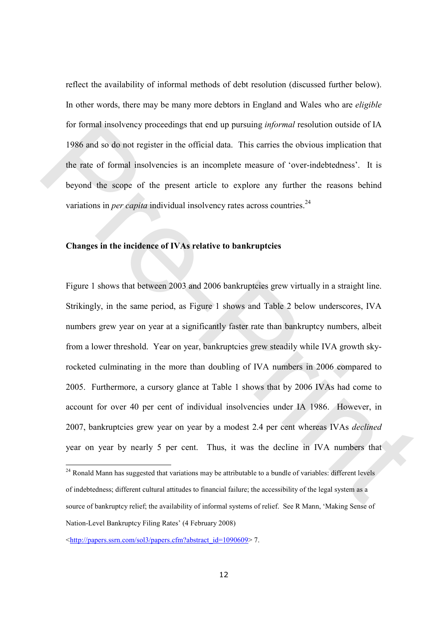reflect the availability of informal methods of debt resolution (discussed further below). In other words, there may be many more debtors in England and Wales who are *eligible* for formal insolvency proceedings that end up pursuing informal resolution outside of IA 1986 and so do not register in the official data. This carries the obvious implication that the rate of formal insolvencies is an incomplete measure of 'over-indebtedness'. It is beyond the scope of the present article to explore any further the reasons behind variations in *per capita* individual insolvency rates across countries.<sup>24</sup>

#### Changes in the incidence of IVAs relative to bankruptcies

Figure 1 shows that between 2003 and 2006 bankruptcies grew virtually in a straight line. Strikingly, in the same period, as Figure 1 shows and Table 2 below underscores, IVA numbers grew year on year at a significantly faster rate than bankruptcy numbers, albeit from a lower threshold. Year on year, bankruptcies grew steadily while IVA growth skyrocketed culminating in the more than doubling of IVA numbers in 2006 compared to 2005. Furthermore, a cursory glance at Table 1 shows that by 2006 IVAs had come to account for over 40 per cent of individual insolvencies under IA 1986. However, in 2007, bankruptcies grew year on year by a modest 2.4 per cent whereas IVAs declined year on year by nearly 5 per cent. Thus, it was the decline in IVA numbers that for formal insolvency proceedings that end up pursuing *informal* resolution outside of IA<br>1986 and so do not register in the official data. This carries the obvious implication that<br>the rate of formal insolvencies is an

<sup>&</sup>lt;sup>24</sup> Ronald Mann has suggested that variations may be attributable to a bundle of variables: different levels of indebtedness; different cultural attitudes to financial failure; the accessibility of the legal system as a source of bankruptcy relief; the availability of informal systems of relief. See R Mann, 'Making Sense of Nation-Level Bankruptcy Filing Rates' (4 February 2008)

<sup>&</sup>lt;http://papers.ssrn.com/sol3/papers.cfm?abstract\_id=1090609> 7.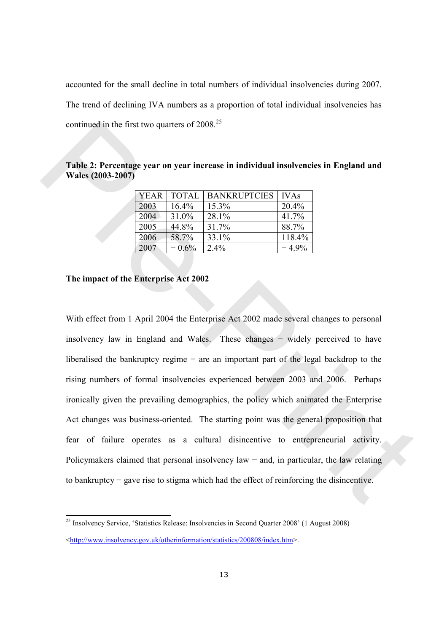accounted for the small decline in total numbers of individual insolvencies during 2007. The trend of declining IVA numbers as a proportion of total individual insolvencies has continued in the first two quarters of  $2008.<sup>25</sup>$ 

Table 2: Percentage year on year increase in individual insolvencies in England and Wales (2003-2007)

| <b>YEAR</b> | <b>TOTAL</b> | <b>BANKRUPTCIES</b> | <b>IVAs</b> |  |
|-------------|--------------|---------------------|-------------|--|
| 2003        | 16.4%        | 15.3%               | 20.4%       |  |
| 2004        | 31.0%        | 28.1%               | 41.7%       |  |
| 2005        | 44.8%        | 31.7%               | 88.7%       |  |
| 2006        | 58.7%        | 33.1%               | 118.4%      |  |
| 2007        | $-0.6%$      | $2.4\%$             | $-4.9\%$    |  |

#### The impact of the Enterprise Act 2002

 $\overline{a}$ 

With effect from 1 April 2004 the Enterprise Act 2002 made several changes to personal insolvency law in England and Wales. These changes − widely perceived to have liberalised the bankruptcy regime − are an important part of the legal backdrop to the rising numbers of formal insolvencies experienced between 2003 and 2006. Perhaps ironically given the prevailing demographics, the policy which animated the Enterprise Act changes was business-oriented. The starting point was the general proposition that fear of failure operates as a cultural disincentive to entrepreneurial activity. Policymakers claimed that personal insolvency law − and, in particular, the law relating to bankruptcy − gave rise to stigma which had the effect of reinforcing the disincentive. continued in the first two quarters of 2008.<sup>25</sup><br>
Table 2: Percentage year on year increase in individual insolvencies in England and<br>
Wales (2003-2007)<br>  $\frac{2003 - 10075}{2001 - 10075}$ <br>  $\frac{2004 - 10075}{2006 - 44.8\% - 131.7\$ 

<sup>25</sup> Insolvency Service, 'Statistics Release: Insolvencies in Second Quarter 2008' (1 August 2008) <http://www.insolvency.gov.uk/otherinformation/statistics/200808/index.htm>.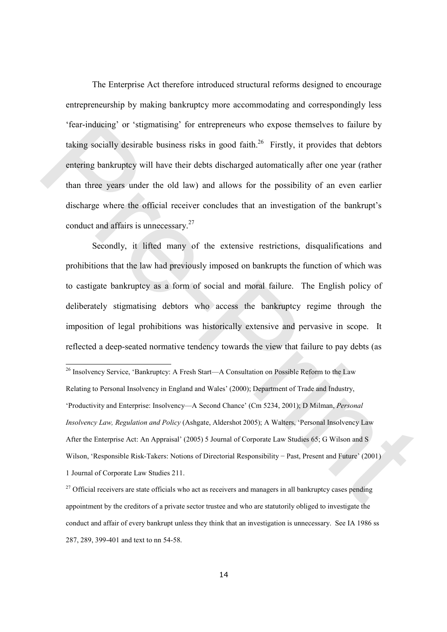The Enterprise Act therefore introduced structural reforms designed to encourage entrepreneurship by making bankruptcy more accommodating and correspondingly less 'fear-inducing' or 'stigmatising' for entrepreneurs who expose themselves to failure by taking socially desirable business risks in good faith.<sup>26</sup> Firstly, it provides that debtors entering bankruptcy will have their debts discharged automatically after one year (rather than three years under the old law) and allows for the possibility of an even earlier discharge where the official receiver concludes that an investigation of the bankrupt's conduct and affairs is unnecessary.<sup>27</sup> <sup>1</sup>Fear-inducing' or 'stigmatising' for entrepreneurs who expose themselves to failure by<br>
taking socialty desirable business risks in good faith.<sup>26</sup> Firstly, it provides that debtors<br>
entering bankruptcy will have thei

Secondly, it lifted many of the extensive restrictions, disqualifications and prohibitions that the law had previously imposed on bankrupts the function of which was to castigate bankruptcy as a form of social and moral failure. The English policy of deliberately stigmatising debtors who access the bankruptcy regime through the imposition of legal prohibitions was historically extensive and pervasive in scope. It reflected a deep-seated normative tendency towards the view that failure to pay debts (as

 $26$  Insolvency Service, 'Bankruptcy: A Fresh Start—A Consultation on Possible Reform to the Law Relating to Personal Insolvency in England and Wales' (2000); Department of Trade and Industry, 'Productivity and Enterprise: Insolvency—A Second Chance' (Cm 5234, 2001); D Milman, Personal Insolvency Law, Regulation and Policy (Ashgate, Aldershot 2005); A Walters, 'Personal Insolvency Law After the Enterprise Act: An Appraisal' (2005) 5 Journal of Corporate Law Studies 65; G Wilson and S Wilson, 'Responsible Risk-Takers: Notions of Directorial Responsibility − Past, Present and Future' (2001) 1 Journal of Corporate Law Studies 211.

 $\overline{a}$ 

 $27$  Official receivers are state officials who act as receivers and managers in all bankruptcy cases pending appointment by the creditors of a private sector trustee and who are statutorily obliged to investigate the conduct and affair of every bankrupt unless they think that an investigation is unnecessary. See IA 1986 ss 287, 289, 399-401 and text to nn 54-58.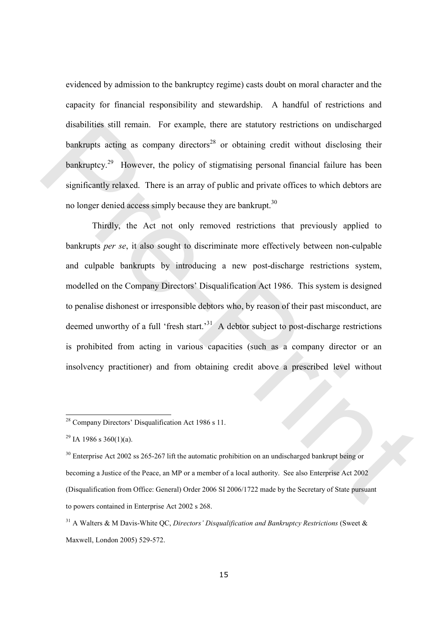evidenced by admission to the bankruptcy regime) casts doubt on moral character and the capacity for financial responsibility and stewardship. A handful of restrictions and disabilities still remain. For example, there are statutory restrictions on undischarged bankrupts acting as company directors<sup>28</sup> or obtaining credit without disclosing their bankruptcy.<sup>29</sup> However, the policy of stigmatising personal financial failure has been significantly relaxed. There is an array of public and private offices to which debtors are no longer denied access simply because they are bankrupt.<sup>30</sup>

Thirdly, the Act not only removed restrictions that previously applied to bankrupts per se, it also sought to discriminate more effectively between non-culpable and culpable bankrupts by introducing a new post-discharge restrictions system, modelled on the Company Directors' Disqualification Act 1986. This system is designed to penalise dishonest or irresponsible debtors who, by reason of their past misconduct, are deemed unworthy of a full 'fresh start.'<sup>31</sup> A debtor subject to post-discharge restrictions is prohibited from acting in various capacities (such as a company director or an insolvency practitioner) and from obtaining credit above a prescribed level without disabilities still remain. For example, there are statutory restrictions on undischarged<br>bankrupts acting as company directors<sup>39</sup> or obtaining credit without disclosing their<br>bankrupts<sup>39</sup> However, the policy of stigmati

<sup>28</sup> Company Directors' Disqualification Act 1986 s 11.

<sup>&</sup>lt;sup>29</sup> IA 1986 s 360(1)(a).

<sup>&</sup>lt;sup>30</sup> Enterprise Act 2002 ss 265-267 lift the automatic prohibition on an undischarged bankrupt being or becoming a Justice of the Peace, an MP or a member of a local authority. See also Enterprise Act 2002 (Disqualification from Office: General) Order 2006 SI 2006/1722 made by the Secretary of State pursuant to powers contained in Enterprise Act 2002 s 268.

 $31$  A Walters & M Davis-White OC, Directors' Disqualification and Bankruptcy Restrictions (Sweet & Maxwell, London 2005) 529-572.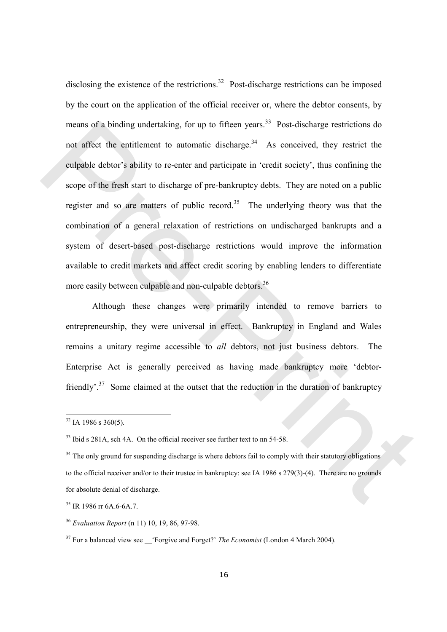disclosing the existence of the restrictions.<sup>32</sup> Post-discharge restrictions can be imposed by the court on the application of the official receiver or, where the debtor consents, by means of a binding undertaking, for up to fifteen years.<sup>33</sup> Post-discharge restrictions do not affect the entitlement to automatic discharge.<sup>34</sup> As conceived, they restrict the culpable debtor's ability to re-enter and participate in 'credit society', thus confining the scope of the fresh start to discharge of pre-bankruptcy debts. They are noted on a public register and so are matters of public record.<sup>35</sup> The underlying theory was that the combination of a general relaxation of restrictions on undischarged bankrupts and a system of desert-based post-discharge restrictions would improve the information available to credit markets and affect credit scoring by enabling lenders to differentiate more easily between culpable and non-culpable debtors.<sup>36</sup> means of a binding undertaking, for up to filteen years.<sup>57</sup> Post-discharge restrictions do<br>not affect the entitlement to automatic discharge.<sup>34</sup> As conceived, they restrict the<br>enlaphile debtor's ability to re-enter and

Although these changes were primarily intended to remove barriers to entrepreneurship, they were universal in effect. Bankruptcy in England and Wales remains a unitary regime accessible to all debtors, not just business debtors. The Enterprise Act is generally perceived as having made bankruptcy more 'debtorfriendly'<sup>37</sup> Some claimed at the outset that the reduction in the duration of bankruptcy

 $32$  IA 1986 s 360(5).

<sup>&</sup>lt;sup>33</sup> Ibid s 281A, sch 4A. On the official receiver see further text to nn 54-58.

<sup>&</sup>lt;sup>34</sup> The only ground for suspending discharge is where debtors fail to comply with their statutory obligations to the official receiver and/or to their trustee in bankruptcy: see IA 1986 s 279(3)-(4). There are no grounds for absolute denial of discharge.

<sup>35</sup> IR 1986 rr 6A.6-6A.7.

<sup>36</sup> Evaluation Report (n 11) 10, 19, 86, 97-98.

 $37$  For a balanced view see 'Forgive and Forget?' The Economist (London 4 March 2004).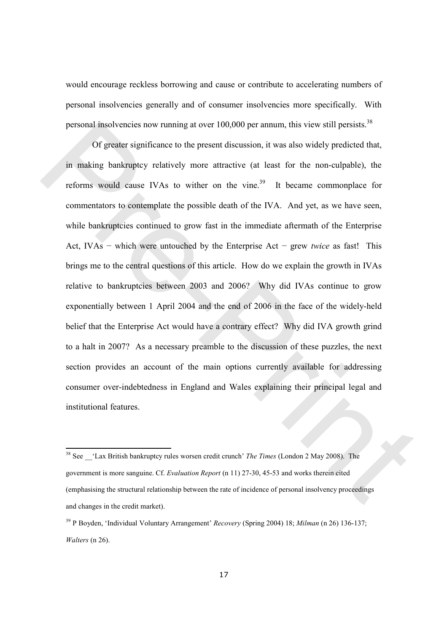would encourage reckless borrowing and cause or contribute to accelerating numbers of personal insolvencies generally and of consumer insolvencies more specifically. With personal insolvencies now running at over  $100,000$  per annum, this view still persists.<sup>38</sup>

Of greater significance to the present discussion, it was also widely predicted that, in making bankruptcy relatively more attractive (at least for the non-culpable), the reforms would cause IVAs to wither on the vine.<sup>39</sup> It became commonplace for commentators to contemplate the possible death of the IVA. And yet, as we have seen, while bankruptcies continued to grow fast in the immediate aftermath of the Enterprise Act, IVAs − which were untouched by the Enterprise Act − grew twice as fast! This brings me to the central questions of this article. How do we explain the growth in IVAs relative to bankruptcies between 2003 and 2006? Why did IVAs continue to grow exponentially between 1 April 2004 and the end of 2006 in the face of the widely-held belief that the Enterprise Act would have a contrary effect? Why did IVA growth grind to a halt in 2007? As a necessary preamble to the discussion of these puzzles, the next section provides an account of the main options currently available for addressing consumer over-indebtedness in England and Wales explaining their principal legal and institutional features. personal insolvencies now running at over 100,000 per annum, this view still persists.<sup>55</sup><br>Of greater significance to the present discussion, it was also widely predicted that,<br>in making bankraptcy relatively more attract

<sup>&</sup>lt;sup>38</sup> See 'Lax British bankruptcy rules worsen credit crunch' *The Times* (London 2 May 2008). The government is more sanguine. Cf. Evaluation Report (n 11) 27-30, 45-53 and works therein cited (emphasising the structural relationship between the rate of incidence of personal insolvency proceedings and changes in the credit market).

 $39$  P Boyden, 'Individual Voluntary Arrangement' *Recovery* (Spring 2004) 18; *Milman* (n 26) 136-137; Walters (n 26).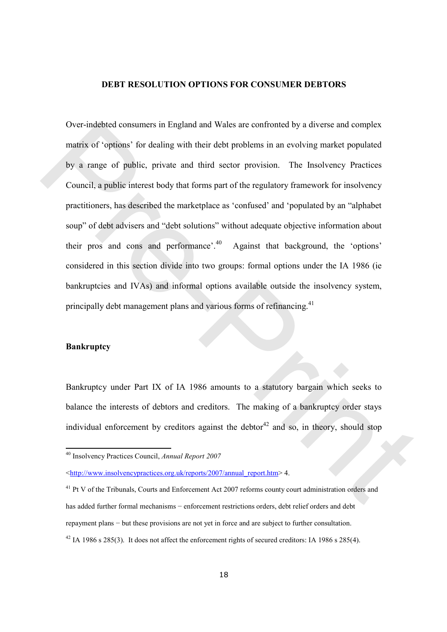#### DEBT RESOLUTION OPTIONS FOR CONSUMER DEBTORS

Over-indebted consumers in England and Wales are confronted by a diverse and complex matrix of 'options' for dealing with their debt problems in an evolving market populated by a range of public, private and third sector provision. The Insolvency Practices Council, a public interest body that forms part of the regulatory framework for insolvency practitioners, has described the marketplace as 'confused' and 'populated by an "alphabet soup" of debt advisers and "debt solutions" without adequate objective information about their pros and cons and performance'. $40$  Against that background, the 'options' considered in this section divide into two groups: formal options under the IA 1986 (ie bankruptcies and IVAs) and informal options available outside the insolvency system, principally debt management plans and various forms of refinancing.<sup>41</sup> Over-indehted consumers in England and Wales are conformed by a diverse and complex<br>matrix of 'options' for dealing with their debt problems in an evolving market populated<br>by a range of public, private and third sector p

#### **Bankruptcy**

 $\overline{a}$ 

Bankruptcy under Part IX of IA 1986 amounts to a statutory bargain which seeks to balance the interests of debtors and creditors. The making of a bankruptcy order stays individual enforcement by creditors against the debtor<sup>42</sup> and so, in theory, should stop

<sup>40</sup> Insolvency Practices Council, Annual Report 2007

<sup>&</sup>lt;http://www.insolvencypractices.org.uk/reports/2007/annual\_report.htm> 4.

 $41$  Pt V of the Tribunals, Courts and Enforcement Act 2007 reforms county court administration orders and has added further formal mechanisms – enforcement restrictions orders, debt relief orders and debt repayment plans − but these provisions are not yet in force and are subject to further consultation.  $42$  IA 1986 s 285(3). It does not affect the enforcement rights of secured creditors: IA 1986 s 285(4).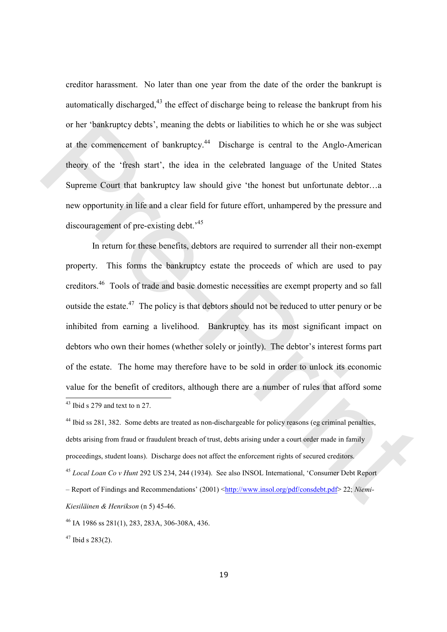creditor harassment. No later than one year from the date of the order the bankrupt is automatically discharged,<sup>43</sup> the effect of discharge being to release the bankrupt from his or her 'bankruptcy debts', meaning the debts or liabilities to which he or she was subject at the commencement of bankruptcy.<sup>44</sup> Discharge is central to the Anglo-American theory of the 'fresh start', the idea in the celebrated language of the United States Supreme Court that bankruptcy law should give 'the honest but unfortunate debtor…a new opportunity in life and a clear field for future effort, unhampered by the pressure and discouragement of pre-existing debt.<sup>45</sup>

 In return for these benefits, debtors are required to surrender all their non-exempt property. This forms the bankruptcy estate the proceeds of which are used to pay creditors.<sup>46</sup> Tools of trade and basic domestic necessities are exempt property and so fall outside the estate. $47$  The policy is that debtors should not be reduced to utter penury or be inhibited from earning a livelihood. Bankruptcy has its most significant impact on debtors who own their homes (whether solely or jointly). The debtor's interest forms part of the estate. The home may therefore have to be sold in order to unlock its economic value for the benefit of creditors, although there are a number of rules that afford some  $\overline{a}$ <sup>43</sup> Ibid s 279 and text to n 27. or her 'bankruptcy debts', meaning the debts or liabilities to which he or she was subject<br>at the commencement of bankruptcy.<sup>44</sup> Discharge is central to the Anglo-American<br>theory of the 'fresh start', the idea in the cel

<sup>44</sup> Ibid ss 281, 382. Some debts are treated as non-dischargeable for policy reasons (eg criminal penalties, debts arising from fraud or fraudulent breach of trust, debts arising under a court order made in family proceedings, student loans). Discharge does not affect the enforcement rights of secured creditors. <sup>45</sup> Local Loan Co v Hunt 292 US 234, 244 (1934). See also INSOL International, 'Consumer Debt Report – Report of Findings and Recommendations' (2001) <http://www.insol.org/pdf/consdebt.pdf> 22; Niemi-Kiesiläinen & Henrikson (n 5) 45-46.

<sup>46</sup> IA 1986 ss 281(1), 283, 283A, 306-308A, 436.

 $47$  Ibid s 283(2).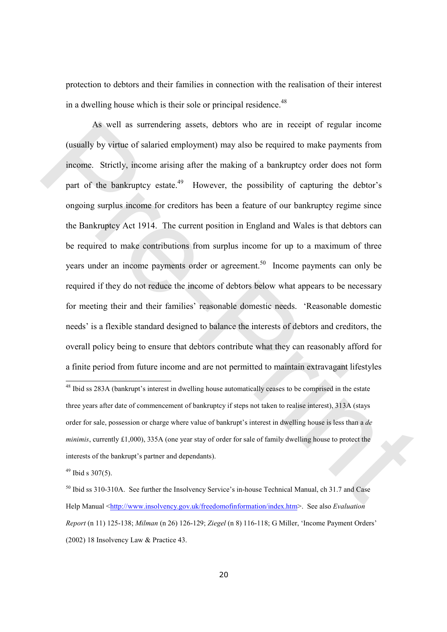protection to debtors and their families in connection with the realisation of their interest in a dwelling house which is their sole or principal residence.<sup>48</sup>

 As well as surrendering assets, debtors who are in receipt of regular income (usually by virtue of salaried employment) may also be required to make payments from income. Strictly, income arising after the making of a bankruptcy order does not form part of the bankruptcy estate.<sup>49</sup> However, the possibility of capturing the debtor's ongoing surplus income for creditors has been a feature of our bankruptcy regime since the Bankruptcy Act 1914. The current position in England and Wales is that debtors can be required to make contributions from surplus income for up to a maximum of three years under an income payments order or agreement.<sup>50</sup> Income payments can only be required if they do not reduce the income of debtors below what appears to be necessary for meeting their and their families' reasonable domestic needs. 'Reasonable domestic needs' is a flexible standard designed to balance the interests of debtors and creditors, the overall policy being to ensure that debtors contribute what they can reasonably afford for a finite period from future income and are not permitted to maintain extravagant lifestyles As well as surrendering assets, debtors who are in receipt of regular income<br>
(usually by witte of salaried employment) may also be required to make payments from<br>
income. Strictly, income arting after the making of a ban

 $49$  Ibid s 307(5).

<sup>&</sup>lt;sup>48</sup> Ibid ss 283A (bankrupt's interest in dwelling house automatically ceases to be comprised in the estate three years after date of commencement of bankruptcy if steps not taken to realise interest), 313A (stays order for sale, possession or charge where value of bankrupt's interest in dwelling house is less than a de minimis, currently £1,000), 335A (one year stay of order for sale of family dwelling house to protect the interests of the bankrupt's partner and dependants).

<sup>50</sup> Ibid ss 310-310A. See further the Insolvency Service's in-house Technical Manual, ch 31.7 and Case Help Manual <http://www.insolvency.gov.uk/freedomofinformation/index.htm>. See also Evaluation Report (n 11) 125-138; Milman (n 26) 126-129; Ziegel (n 8) 116-118; G Miller, 'Income Payment Orders' (2002) 18 Insolvency Law & Practice 43.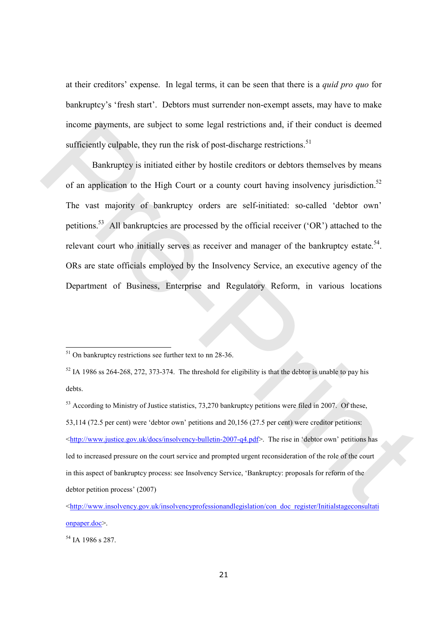at their creditors' expense. In legal terms, it can be seen that there is a quid pro quo for bankruptcy's 'fresh start'. Debtors must surrender non-exempt assets, may have to make income payments, are subject to some legal restrictions and, if their conduct is deemed sufficiently culpable, they run the risk of post-discharge restrictions.<sup>51</sup>

Bankruptcy is initiated either by hostile creditors or debtors themselves by means of an application to the High Court or a county court having insolvency jurisdiction.<sup>52</sup> The vast majority of bankruptcy orders are self-initiated: so-called 'debtor own' petitions.<sup>53</sup> All bankruptcies are processed by the official receiver ('OR') attached to the relevant court who initially serves as receiver and manager of the bankruptcy estate.<sup>54</sup>. ORs are state officials employed by the Insolvency Service, an executive agency of the Department of Business, Enterprise and Regulatory Reform, in various locations income payments, are subject to some legal restrictions and, if their conduct is deemed<br>sufficiently culpable, they run the risk of post-discharge restrictions.<sup>51</sup><br>Bankruptey is initiated either by hostile creditors or d

<sup>54</sup> IA 1986 s 287

 $51$  On bankruptcy restrictions see further text to nn 28-36.

 $52$  IA 1986 ss 264-268, 272, 373-374. The threshold for eligibility is that the debtor is unable to pay his debts.

<sup>&</sup>lt;sup>53</sup> According to Ministry of Justice statistics, 73,270 bankruptcy petitions were filed in 2007. Of these, 53,114 (72.5 per cent) were 'debtor own' petitions and 20,156 (27.5 per cent) were creditor petitions: <http://www.justice.gov.uk/docs/insolvency-bulletin-2007-q4.pdf>. The rise in 'debtor own' petitions has led to increased pressure on the court service and prompted urgent reconsideration of the role of the court in this aspect of bankruptcy process: see Insolvency Service, 'Bankruptcy: proposals for reform of the debtor petition process' (2007)

<sup>&</sup>lt;http://www.insolvency.gov.uk/insolvencyprofessionandlegislation/con\_doc\_register/Initialstageconsultati onpaper.doc>.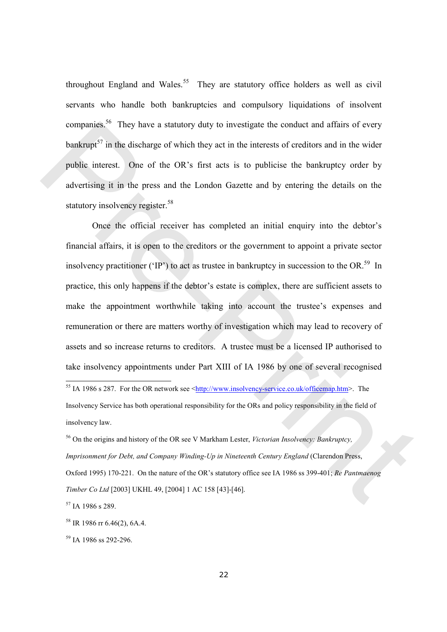throughout England and Wales.<sup>55</sup> They are statutory office holders as well as civil servants who handle both bankruptcies and compulsory liquidations of insolvent companies.<sup>56</sup> They have a statutory duty to investigate the conduct and affairs of every bankrupt<sup>57</sup> in the discharge of which they act in the interests of creditors and in the wider public interest. One of the OR's first acts is to publicise the bankruptcy order by advertising it in the press and the London Gazette and by entering the details on the statutory insolvency register.<sup>58</sup>

Once the official receiver has completed an initial enquiry into the debtor's financial affairs, it is open to the creditors or the government to appoint a private sector insolvency practitioner ('IP') to act as trustee in bankruptcy in succession to the OR.<sup>59</sup> In practice, this only happens if the debtor's estate is complex, there are sufficient assets to make the appointment worthwhile taking into account the trustee's expenses and remuneration or there are matters worthy of investigation which may lead to recovery of assets and so increase returns to creditors. A trustee must be a licensed IP authorised to take insolvency appointments under Part XIII of IA 1986 by one of several recognised companies." They have a statutory duty to investigate the conduct and alliars of every<br>bankcupt<sup>17</sup> in the discharge of which they act in the interests of creditors and in the wider<br>public interest. One of the OR's first

<sup>55</sup> IA 1986 s 287. For the OR network see < $\frac{http://www.insolvency-service.co.uk/officemap.htm}{$ . The Insolvency Service has both operational responsibility for the ORs and policy responsibility in the field of insolvency law.

<sup>56</sup> On the origins and history of the OR see V Markham Lester, *Victorian Insolvency: Bankruptcy*, Imprisonment for Debt, and Company Winding-Up in Nineteenth Century England (Clarendon Press, Oxford 1995) 170-221. On the nature of the OR's statutory office see IA 1986 ss 399-401; Re Pantmaenog Timber Co Ltd [2003] UKHL 49, [2004] 1 AC 158 [43]-[46].

<sup>57</sup> IA 1986 s 289.

 $58$  IR 1986 rr 6.46(2), 6A.4.

<sup>59</sup> IA 1986 ss 292-296.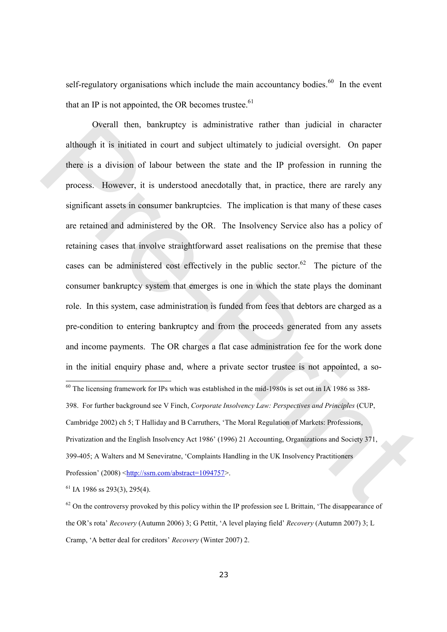self-regulatory organisations which include the main accountancy bodies.<sup>60</sup> In the event that an IP is not appointed, the OR becomes trustee. $61$ 

Overall then, bankruptcy is administrative rather than judicial in character although it is initiated in court and subject ultimately to judicial oversight. On paper there is a division of labour between the state and the IP profession in running the process. However, it is understood anecdotally that, in practice, there are rarely any significant assets in consumer bankruptcies. The implication is that many of these cases are retained and administered by the OR. The Insolvency Service also has a policy of retaining cases that involve straightforward asset realisations on the premise that these cases can be administered cost effectively in the public sector.<sup>62</sup> The picture of the consumer bankruptcy system that emerges is one in which the state plays the dominant role. In this system, case administration is funded from fees that debtors are charged as a pre-condition to entering bankruptcy and from the proceeds generated from any assets and income payments. The OR charges a flat case administration fee for the work done in the initial enquiry phase and, where a private sector trustee is not appointed, a so-  $\overline{a}$  $60$  The licensing framework for IPs which was established in the mid-1980s is set out in IA 1986 ss 388-398. For further background see V Finch, Corporate Insolvency Law: Perspectives and Principles (CUP, Oserall then, bankruptcy is administrative rather than judicial in character<br>although it is initiated in court and subject ultimately to judicial oversight. On paper<br>there is a division of labour between the state and the

Cambridge 2002) ch 5; T Halliday and B Carruthers, 'The Moral Regulation of Markets: Professions, Privatization and the English Insolvency Act 1986' (1996) 21 Accounting, Organizations and Society 371, 399-405; A Walters and M Seneviratne, 'Complaints Handling in the UK Insolvency Practitioners Profession' (2008) <http://ssrn.com/abstract=1094757>.

 $61$  IA 1986 ss 293(3), 295(4).

 $62$  On the controversy provoked by this policy within the IP profession see L Brittain, 'The disappearance of the OR's rota' Recovery (Autumn 2006) 3; G Pettit, 'A level playing field' Recovery (Autumn 2007) 3; L Cramp, 'A better deal for creditors' Recovery (Winter 2007) 2.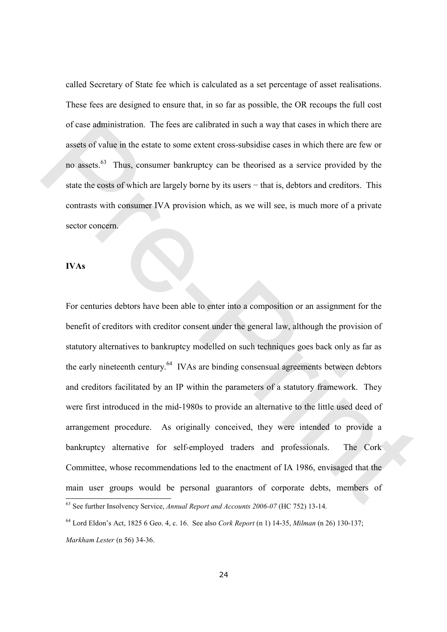called Secretary of State fee which is calculated as a set percentage of asset realisations. These fees are designed to ensure that, in so far as possible, the OR recoups the full cost of case administration. The fees are calibrated in such a way that cases in which there are assets of value in the estate to some extent cross-subsidise cases in which there are few or no assets.<sup>63</sup> Thus, consumer bankruptcy can be theorised as a service provided by the state the costs of which are largely borne by its users – that is, debtors and creditors. This contrasts with consumer IVA provision which, as we will see, is much more of a private sector concern.

#### IVAs

For centuries debtors have been able to enter into a composition or an assignment for the benefit of creditors with creditor consent under the general law, although the provision of statutory alternatives to bankruptcy modelled on such techniques goes back only as far as the early nineteenth century.<sup>64</sup> IVAs are binding consensual agreements between debtors and creditors facilitated by an IP within the parameters of a statutory framework. They were first introduced in the mid-1980s to provide an alternative to the little used deed of arrangement procedure. As originally conceived, they were intended to provide a bankruptcy alternative for self-employed traders and professionals. The Cork Committee, whose recommendations led to the enactment of IA 1986, envisaged that the main user groups would be personal guarantors of corporate debts, members of  $\overline{a}$  $63$  See further Insolvency Service, Annual Report and Accounts 2006-07 (HC 752) 13-14. of case administration. The fees are calibrated in such a way that cases in which there are<br>assets of value in the estate to some extent cross-subsidise cases in which there are few or<br>no assets.<sup>63</sup> Thus, consumer bankru

 $64$  Lord Eldon's Act, 1825 6 Geo. 4, c. 16. See also *Cork Report* (n 1) 14-35, *Milman* (n 26) 130-137; Markham Lester (n 56) 34-36.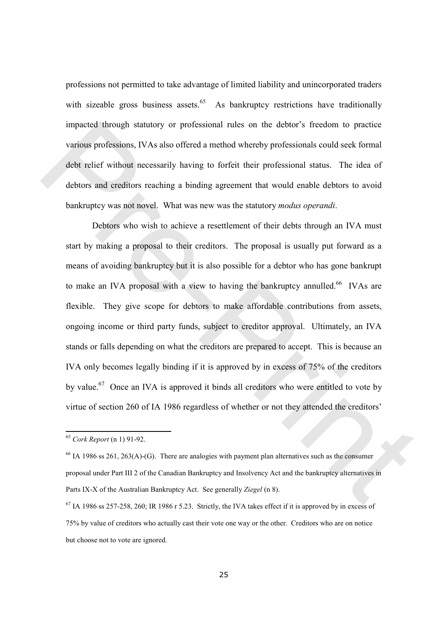professions not permitted to take advantage of limited liability and unincorporated traders with sizeable gross business assets.<sup>65</sup> As bankruptcy restrictions have traditionally impacted through statutory or professional rules on the debtor's freedom to practice various professions, IVAs also offered a method whereby professionals could seek formal debt relief without necessarily having to forfeit their professional status. The idea of debtors and creditors reaching a binding agreement that would enable debtors to avoid bankruptcy was not novel. What was new was the statutory modus operandi.

Debtors who wish to achieve a resettlement of their debts through an IVA must start by making a proposal to their creditors. The proposal is usually put forward as a means of avoiding bankruptcy but it is also possible for a debtor who has gone bankrupt to make an IVA proposal with a view to having the bankruptcy annulled.<sup>66</sup> IVAs are flexible. They give scope for debtors to make affordable contributions from assets, ongoing income or third party funds, subject to creditor approval. Ultimately, an IVA stands or falls depending on what the creditors are prepared to accept. This is because an IVA only becomes legally binding if it is approved by in excess of 75% of the creditors by value.<sup>67</sup> Once an IVA is approved it binds all creditors who were entitled to vote by virtue of section 260 of IA 1986 regardless of whether or not they attended the creditors' impacted through statutory or professional rules on the debtor's freedom to practice<br>various professions, IVAs also offered a method whereby professionals could seek formal<br>debt relief without necessarily having to forfei

 $65$  Cork Report (n 1) 91-92.

 $<sup>66</sup>$  IA 1986 ss 261, 263(A)-(G). There are analogies with payment plan alternatives such as the consumer</sup> proposal under Part III 2 of the Canadian Bankruptcy and Insolvency Act and the bankruptcy alternatives in Parts IX-X of the Australian Bankruptcy Act. See generally Ziegel (n 8).

 $67$  IA 1986 ss 257-258, 260; IR 1986 r 5.23. Strictly, the IVA takes effect if it is approved by in excess of 75% by value of creditors who actually cast their vote one way or the other. Creditors who are on notice but choose not to vote are ignored.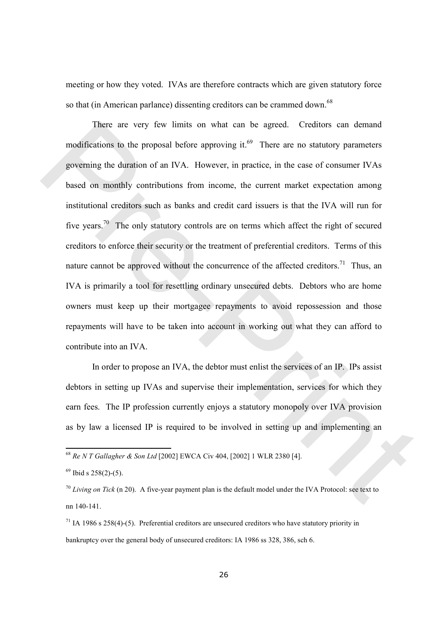meeting or how they voted. IVAs are therefore contracts which are given statutory force so that (in American parlance) dissenting creditors can be crammed down.<sup>68</sup>

 There are very few limits on what can be agreed. Creditors can demand modifications to the proposal before approving it. $69$  There are no statutory parameters governing the duration of an IVA. However, in practice, in the case of consumer IVAs based on monthly contributions from income, the current market expectation among institutional creditors such as banks and credit card issuers is that the IVA will run for five years.<sup>70</sup> The only statutory controls are on terms which affect the right of secured creditors to enforce their security or the treatment of preferential creditors. Terms of this nature cannot be approved without the concurrence of the affected creditors.<sup>71</sup> Thus, an IVA is primarily a tool for resettling ordinary unsecured debts. Debtors who are home owners must keep up their mortgagee repayments to avoid repossession and those repayments will have to be taken into account in working out what they can afford to contribute into an IVA. There are very few limits on what can be agreed. Creditors can dernard<br>modifications to the proposal before approving it.<sup>69</sup> There are no statutory parameters<br>governing the duration of an IVA. However, in practice, in th

 In order to propose an IVA, the debtor must enlist the services of an IP. IPs assist debtors in setting up IVAs and supervise their implementation, services for which they earn fees. The IP profession currently enjoys a statutory monopoly over IVA provision as by law a licensed IP is required to be involved in setting up and implementing an

<sup>68</sup> Re N T Gallagher & Son Ltd [2002] EWCA Civ 404, [2002] 1 WLR 2380 [4].

 $69$  Ibid s 258(2)-(5).

 $70$  Living on Tick (n 20). A five-year payment plan is the default model under the IVA Protocol: see text to nn 140-141.

 $71$  IA 1986 s 258(4)-(5). Preferential creditors are unsecured creditors who have statutory priority in bankruptcy over the general body of unsecured creditors: IA 1986 ss 328, 386, sch 6.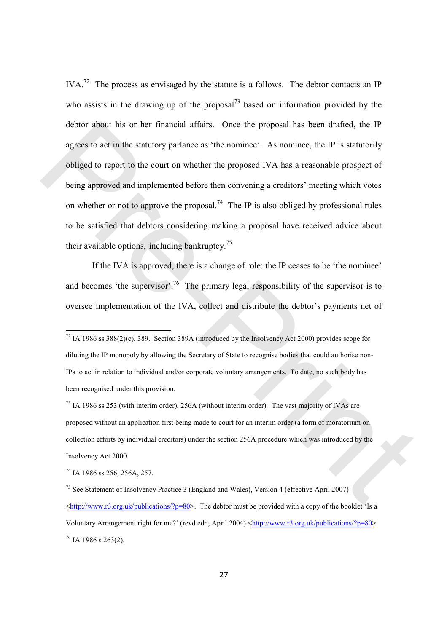IVA.<sup>72</sup> The process as envisaged by the statute is a follows. The debtor contacts an IP who assists in the drawing up of the proposal<sup>73</sup> based on information provided by the debtor about his or her financial affairs. Once the proposal has been drafted, the IP agrees to act in the statutory parlance as 'the nominee'. As nominee, the IP is statutorily obliged to report to the court on whether the proposed IVA has a reasonable prospect of being approved and implemented before then convening a creditors' meeting which votes on whether or not to approve the proposal.<sup>74</sup> The IP is also obliged by professional rules to be satisfied that debtors considering making a proposal have received advice about their available options, including bankruptcy.<sup>75</sup> debtor about his or her financial affairs. Once the proposal has been drafted, the P<br>agrees to act in the statutory parlance as "the nomine". As nomine, the IP is statutorily<br>obliged to report to the court on whether the

If the IVA is approved, there is a change of role: the IP ceases to be 'the nominee' and becomes 'the supervisor'.<sup>76</sup> The primary legal responsibility of the supervisor is to oversee implementation of the IVA, collect and distribute the debtor's payments net of

<sup>74</sup> IA 1986 ss 256, 256A, 257.

 $72$  IA 1986 ss 388(2)(c), 389. Section 389A (introduced by the Insolvency Act 2000) provides scope for diluting the IP monopoly by allowing the Secretary of State to recognise bodies that could authorise non-IPs to act in relation to individual and/or corporate voluntary arrangements. To date, no such body has been recognised under this provision.

<sup>&</sup>lt;sup>73</sup> IA 1986 ss 253 (with interim order), 256A (without interim order). The vast majority of IVAs are proposed without an application first being made to court for an interim order (a form of moratorium on collection efforts by individual creditors) under the section 256A procedure which was introduced by the Insolvency Act 2000.

<sup>&</sup>lt;sup>75</sup> See Statement of Insolvency Practice 3 (England and Wales), Version 4 (effective April 2007)  $\frac{\text{th}}{\text{t}}$ /www.r3.org.uk/publications/?p=80>. The debtor must be provided with a copy of the booklet 'Is a Voluntary Arrangement right for me?' (revd edn, April 2004)  $\text{thtr}/\text{www.r3.org.uk/publications/?p=80}$ .  $76$  IA 1986 s 263(2).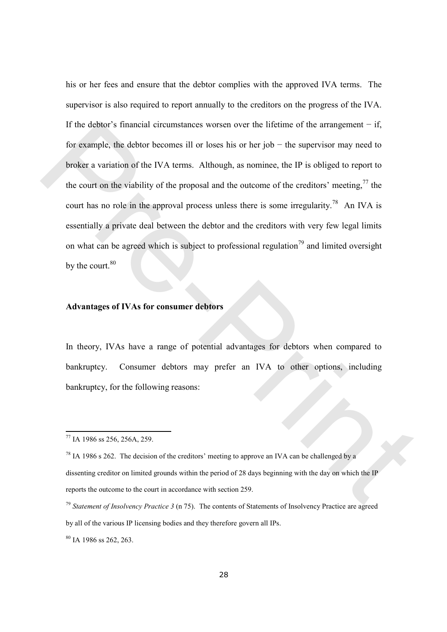his or her fees and ensure that the debtor complies with the approved IVA terms. The supervisor is also required to report annually to the creditors on the progress of the IVA. If the debtor's financial circumstances worsen over the lifetime of the arrangement  $-$  if, for example, the debtor becomes ill or loses his or her job − the supervisor may need to broker a variation of the IVA terms. Although, as nominee, the IP is obliged to report to the court on the viability of the proposal and the outcome of the creditors' meeting,  $\frac{7}{7}$  the court has no role in the approval process unless there is some irregularity.<sup>78</sup> An IVA is essentially a private deal between the debtor and the creditors with very few legal limits on what can be agreed which is subject to professional regulation<sup>79</sup> and limited oversight by the court.<sup>80</sup> If the debtor's linancial circumstances worsen over the lifetime of the arrangement – if,<br>for example, the debtor becomes ill or losse his or her job – the supervisor may need to<br>broker a variation of the IVA terms. Attho

#### Advantages of IVAs for consumer debtors

In theory, IVAs have a range of potential advantages for debtors when compared to bankruptcy. Consumer debtors may prefer an IVA to other options, including bankruptcy, for the following reasons:

 $\overline{a}$ 

 $80$  JA 1986 ss 262, 263.

<sup>77</sup> IA 1986 ss 256, 256A, 259.

 $78$  IA 1986 s 262. The decision of the creditors' meeting to approve an IVA can be challenged by a dissenting creditor on limited grounds within the period of 28 days beginning with the day on which the IP reports the outcome to the court in accordance with section 259.

<sup>&</sup>lt;sup>79</sup> Statement of Insolvency Practice 3 (n 75). The contents of Statements of Insolvency Practice are agreed by all of the various IP licensing bodies and they therefore govern all IPs.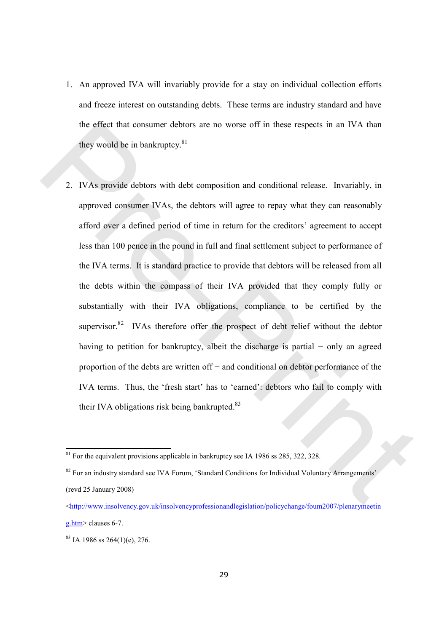- 1. An approved IVA will invariably provide for a stay on individual collection efforts and freeze interest on outstanding debts. These terms are industry standard and have the effect that consumer debtors are no worse off in these respects in an IVA than they would be in bankruptcy. $81$
- 2. IVAs provide debtors with debt composition and conditional release. Invariably, in approved consumer IVAs, the debtors will agree to repay what they can reasonably afford over a defined period of time in return for the creditors' agreement to accept less than 100 pence in the pound in full and final settlement subject to performance of the IVA terms. It is standard practice to provide that debtors will be released from all the debts within the compass of their IVA provided that they comply fully or substantially with their IVA obligations, compliance to be certified by the supervisor.<sup>82</sup> IVAs therefore offer the prospect of debt relief without the debtor having to petition for bankruptcy, albeit the discharge is partial − only an agreed proportion of the debts are written off − and conditional on debtor performance of the IVA terms. Thus, the 'fresh start' has to 'earned': debtors who fail to comply with their IVA obligations risk being bankrupted. $83$ the effect that consumer debtors are no worse off in these respects in an IVA than<br>they would be in bankruptcy.<sup>81</sup><br>2. IVAs provide debtors with debt composition and conditional release. Invariably, in<br>approved consumer I

 $81$  For the equivalent provisions applicable in bankruptcy see IA 1986 ss 285, 322, 328.

<sup>&</sup>lt;sup>82</sup> For an industry standard see IVA Forum, 'Standard Conditions for Individual Voluntary Arrangements' (revd 25 January 2008)

<sup>&</sup>lt;http://www.insolvency.gov.uk/insolvencyprofessionandlegislation/policychange/foum2007/plenarymeetin g.htm> clauses 6-7.

 $83$  IA 1986 ss 264(1)(e), 276.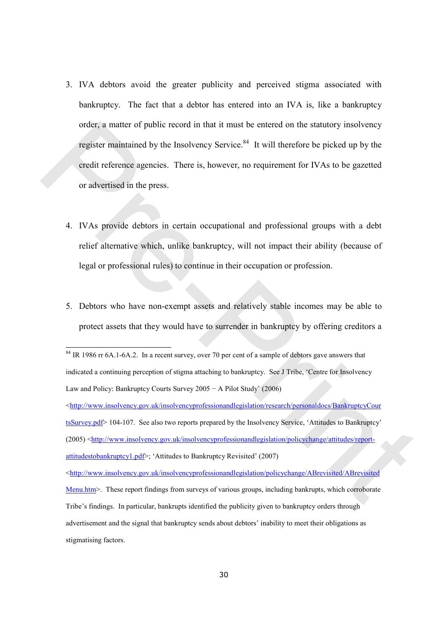- 3. IVA debtors avoid the greater publicity and perceived stigma associated with bankruptcy. The fact that a debtor has entered into an IVA is, like a bankruptcy order, a matter of public record in that it must be entered on the statutory insolvency register maintained by the Insolvency Service.<sup>84</sup> It will therefore be picked up by the credit reference agencies. There is, however, no requirement for IVAs to be gazetted or advertised in the press. order, a matter of public record in that it must be entered on the statutory insolvency<br>
register maintained by the Insolvency Service.<sup>86</sup> It will therefore be picked up by the<br>
ecolit reference agencies. There is, howev
	- 4. IVAs provide debtors in certain occupational and professional groups with a debt relief alternative which, unlike bankruptcy, will not impact their ability (because of legal or professional rules) to continue in their occupation or profession.
	- 5. Debtors who have non-exempt assets and relatively stable incomes may be able to protect assets that they would have to surrender in bankruptcy by offering creditors a

 $\overline{a}$ 

<http://www.insolvency.gov.uk/insolvencyprofessionandlegislation/policychange/ABrevisited/ABrevisited Menu.htm>. These report findings from surveys of various groups, including bankrupts, which corroborate Tribe's findings. In particular, bankrupts identified the publicity given to bankruptcy orders through advertisement and the signal that bankruptcy sends about debtors' inability to meet their obligations as stigmatising factors.

<sup>&</sup>lt;sup>84</sup> IR 1986 rr 6A.1-6A.2. In a recent survey, over 70 per cent of a sample of debtors gave answers that indicated a continuing perception of stigma attaching to bankruptcy. See J Tribe, 'Centre for Insolvency Law and Policy: Bankruptcy Courts Survey 2005 − A Pilot Study' (2006)

 $\langle$ http://www.insolvency.gov.uk/insolvencyprofessionandlegislation/research/personaldocs/BankruptcyCour tsSurvey.pdf> 104-107. See also two reports prepared by the Insolvency Service, 'Attitudes to Bankruptcy' (2005) <http://www.insolvency.gov.uk/insolvencyprofessionandlegislation/policychange/attitudes/reportattitudestobankruptcy1.pdf>; 'Attitudes to Bankruptcy Revisited' (2007)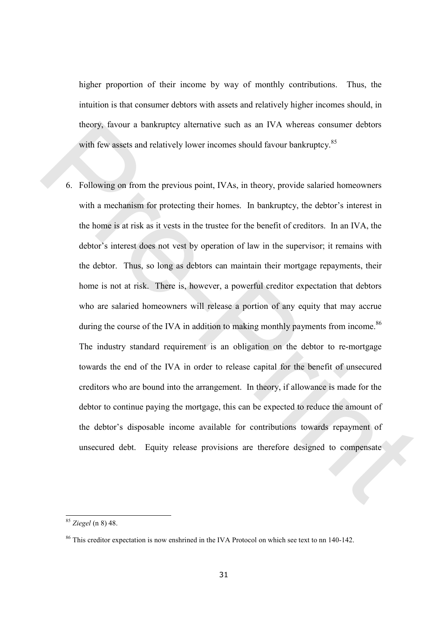higher proportion of their income by way of monthly contributions. Thus, the intuition is that consumer debtors with assets and relatively higher incomes should, in theory, favour a bankruptcy alternative such as an IVA whereas consumer debtors with few assets and relatively lower incomes should favour bankruptcy.<sup>85</sup>

6. Following on from the previous point, IVAs, in theory, provide salaried homeowners with a mechanism for protecting their homes. In bankruptcy, the debtor's interest in the home is at risk as it vests in the trustee for the benefit of creditors. In an IVA, the debtor's interest does not vest by operation of law in the supervisor; it remains with the debtor. Thus, so long as debtors can maintain their mortgage repayments, their home is not at risk. There is, however, a powerful creditor expectation that debtors who are salaried homeowners will release a portion of any equity that may accrue during the course of the IVA in addition to making monthly payments from income.<sup>86</sup> The industry standard requirement is an obligation on the debtor to re-mortgage towards the end of the IVA in order to release capital for the benefit of unsecured creditors who are bound into the arrangement. In theory, if allowance is made for the debtor to continue paying the mortgage, this can be expected to reduce the amount of the debtor's disposable income available for contributions towards repayment of unsecured debt. Equity release provisions are therefore designed to compensate theory, favour a bankruptcy alternative such as an IVA whereas consumer debtors<br>with few assets and relatively lower incomes should favour bankruptcy.<sup>85</sup><br>6. I collowing on from the previous point, IVAs, in theory, provide

<sup>85</sup> Ziegel (n 8) 48.

<sup>&</sup>lt;sup>86</sup> This creditor expectation is now enshrined in the IVA Protocol on which see text to nn 140-142.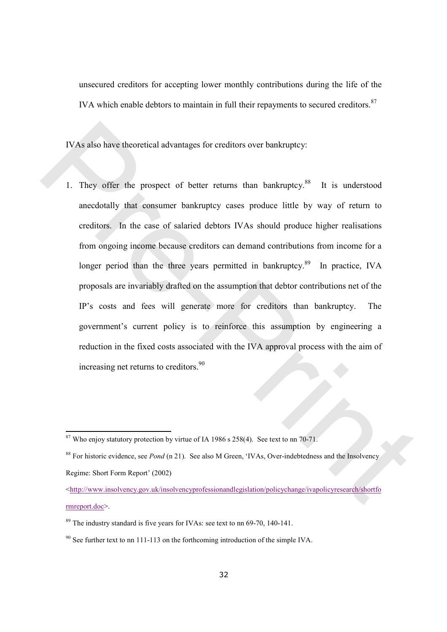unsecured creditors for accepting lower monthly contributions during the life of the IVA which enable debtors to maintain in full their repayments to secured creditors.<sup>87</sup>

IVAs also have theoretical advantages for creditors over bankruptcy:

1. They offer the prospect of better returns than bankruptcy.<sup>88</sup> It is understood anecdotally that consumer bankruptcy cases produce little by way of return to creditors. In the case of salaried debtors IVAs should produce higher realisations from ongoing income because creditors can demand contributions from income for a longer period than the three years permitted in bankruptcy.<sup>89</sup> In practice, IVA proposals are invariably drafted on the assumption that debtor contributions net of the IP's costs and fees will generate more for creditors than bankruptcy. The government's current policy is to reinforce this assumption by engineering a reduction in the fixed costs associated with the IVA approval process with the aim of increasing net returns to creditors.<sup>90</sup> IVAs also have theoretical advantages for creditors over bankruptcy.<br>
1. They offer the prospect of better returns than bankruptcy.<sup>82</sup> It is understood<br>
ancedotally that consumer bankruptcy cases produce little by way of

 $87$  Who enjoy statutory protection by virtue of IA 1986 s 258(4). See text to nn 70-71.

<sup>&</sup>lt;sup>88</sup> For historic evidence, see *Pond* (n 21). See also M Green, 'IVAs, Over-indebtedness and the Insolvency Regime: Short Form Report' (2002)

<sup>&</sup>lt;http://www.insolvency.gov.uk/insolvencyprofessionandlegislation/policychange/ivapolicyresearch/shortfo rmreport.doc>.

<sup>&</sup>lt;sup>89</sup> The industry standard is five years for IVAs: see text to nn 69-70, 140-141.

 $90$  See further text to nn 111-113 on the forthcoming introduction of the simple IVA.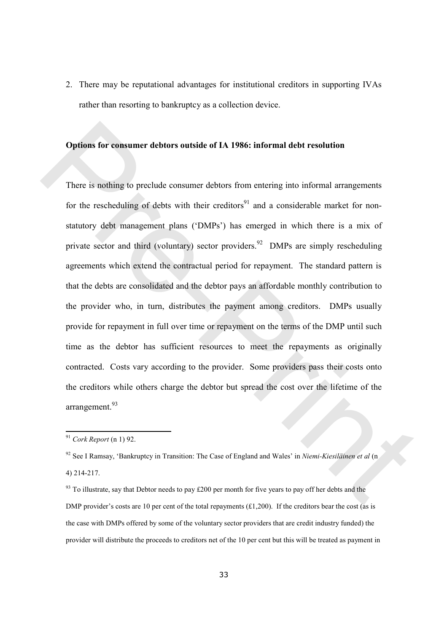2. There may be reputational advantages for institutional creditors in supporting IVAs rather than resorting to bankruptcy as a collection device.

#### Options for consumer debtors outside of IA 1986: informal debt resolution

There is nothing to preclude consumer debtors from entering into informal arrangements for the rescheduling of debts with their creditors<sup>91</sup> and a considerable market for nonstatutory debt management plans ('DMPs') has emerged in which there is a mix of private sector and third (voluntary) sector providers.<sup>92</sup> DMPs are simply rescheduling agreements which extend the contractual period for repayment. The standard pattern is that the debts are consolidated and the debtor pays an affordable monthly contribution to the provider who, in turn, distributes the payment among creditors. DMPs usually provide for repayment in full over time or repayment on the terms of the DMP until such time as the debtor has sufficient resources to meet the repayments as originally contracted. Costs vary according to the provider. Some providers pass their costs onto the creditors while others charge the debtor but spread the cost over the lifetime of the arrangement.<sup>93</sup> **Options for consumer debtors outside of IA 1986: informal debt resolution**<br>
There is nothing to preclude consumer debtors from entering into informal arrangements<br>
for the rescheduling of debts with their creditors<sup>31</sup> a

 $91$  Cork Report (n 1) 92.

 $92$  See I Ramsay, 'Bankruptcy in Transition: The Case of England and Wales' in Niemi-Kiesiläinen et al (n 4) 214-217.

 $93$  To illustrate, say that Debtor needs to pay £200 per month for five years to pay off her debts and the DMP provider's costs are 10 per cent of the total repayments (£1,200). If the creditors bear the cost (as is the case with DMPs offered by some of the voluntary sector providers that are credit industry funded) the provider will distribute the proceeds to creditors net of the 10 per cent but this will be treated as payment in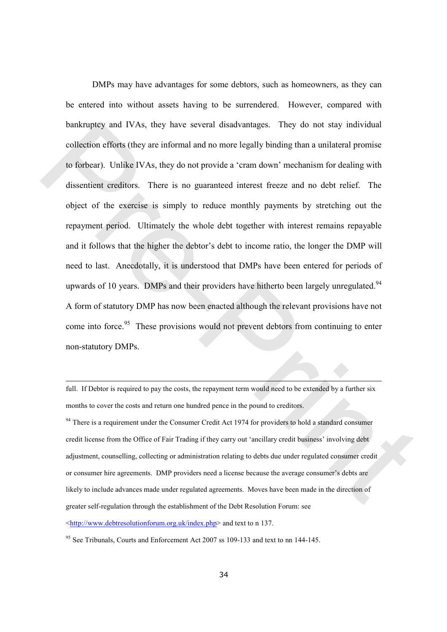DMPs may have advantages for some debtors, such as homeowners, as they can be entered into without assets having to be surrendered. However, compared with bankruptcy and IVAs, they have several disadvantages. They do not stay individual collection efforts (they are informal and no more legally binding than a unilateral promise to forbear). Unlike IVAs, they do not provide a 'cram down' mechanism for dealing with dissentient creditors. There is no guaranteed interest freeze and no debt relief. The object of the exercise is simply to reduce monthly payments by stretching out the repayment period. Ultimately the whole debt together with interest remains repayable and it follows that the higher the debtor's debt to income ratio, the longer the DMP will need to last. Anecdotally, it is understood that DMPs have been entered for periods of upwards of 10 years. DMPs and their providers have hitherto been largely unregulated.<sup>94</sup> A form of statutory DMP has now been enacted although the relevant provisions have not come into force.<sup>95</sup> These provisions would not prevent debtors from continuing to enter non-statutory DMPs. bankruptcy and IVAs, they have several disadvantages. They do not stay individual<br>collection effects (they are informal and no more legally binding than a unifacted promise<br>to focbear). Unlike IVAs, they do not provide a

full. If Debtor is required to pay the costs, the repayment term would need to be extended by a further six months to cover the costs and return one hundred pence in the pound to creditors.

<sup>94</sup> There is a requirement under the Consumer Credit Act 1974 for providers to hold a standard consumer credit license from the Office of Fair Trading if they carry out 'ancillary credit business' involving debt adjustment, counselling, collecting or administration relating to debts due under regulated consumer credit or consumer hire agreements. DMP providers need a license because the average consumer's debts are likely to include advances made under regulated agreements. Moves have been made in the direction of greater self-regulation through the establishment of the Debt Resolution Forum: see

<http://www.debtresolutionforum.org.uk/index.php> and text to n 137.

l

<sup>95</sup> See Tribunals, Courts and Enforcement Act 2007 ss 109-133 and text to nn 144-145.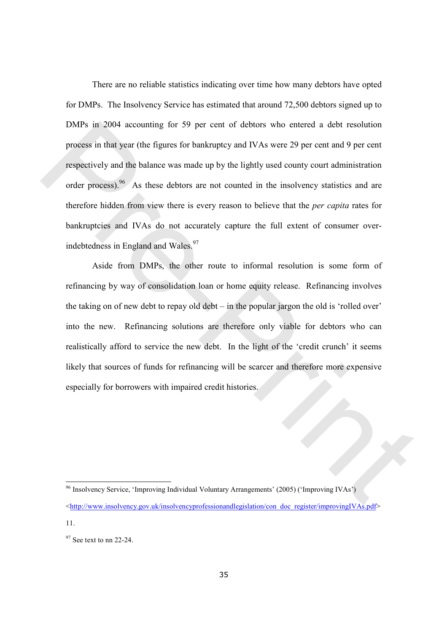There are no reliable statistics indicating over time how many debtors have opted for DMPs. The Insolvency Service has estimated that around 72,500 debtors signed up to DMPs in 2004 accounting for 59 per cent of debtors who entered a debt resolution process in that year (the figures for bankruptcy and IVAs were 29 per cent and 9 per cent respectively and the balance was made up by the lightly used county court administration order process).<sup>96</sup> As these debtors are not counted in the insolvency statistics and are therefore hidden from view there is every reason to believe that the per capita rates for bankruptcies and IVAs do not accurately capture the full extent of consumer overindebtedness in England and Wales.<sup>97</sup> DMPs in 2004 accounting for 59 per cent of debtors who entered a debt resolution<br>process in that year (the figures for bankruptcy and IVAs were 29 per cent and 9 per cent<br>respectively and the balance was made up by the lig

Aside from DMPs, the other route to informal resolution is some form of refinancing by way of consolidation loan or home equity release. Refinancing involves the taking on of new debt to repay old debt – in the popular jargon the old is 'rolled over' into the new. Refinancing solutions are therefore only viable for debtors who can realistically afford to service the new debt. In the light of the 'credit crunch' it seems likely that sources of funds for refinancing will be scarcer and therefore more expensive especially for borrowers with impaired credit histories.

<sup>96</sup> Insolvency Service, 'Improving Individual Voluntary Arrangements' (2005) ('Improving IVAs') <http://www.insolvency.gov.uk/insolvencyprofessionandlegislation/con\_doc\_register/improvingIVAs.pdf> 11.

 $97$  See text to nn 22-24.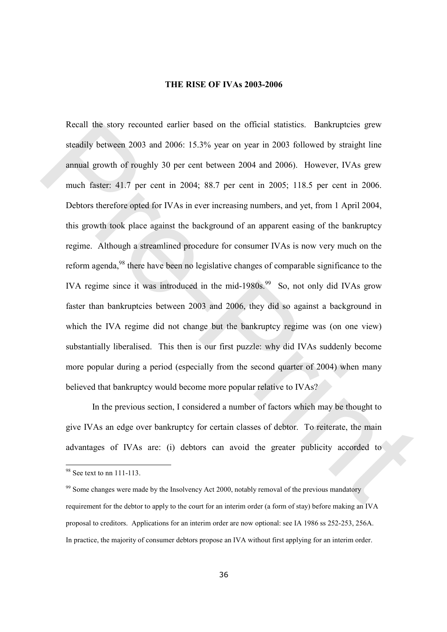#### THE RISE OF IVAs 2003-2006

Recall the story recounted earlier based on the official statistics. Bankruptcies grew steadily between 2003 and 2006: 15.3% year on year in 2003 followed by straight line annual growth of roughly 30 per cent between 2004 and 2006). However, IVAs grew much faster: 41.7 per cent in 2004; 88.7 per cent in 2005; 118.5 per cent in 2006. Debtors therefore opted for IVAs in ever increasing numbers, and yet, from 1 April 2004, this growth took place against the background of an apparent easing of the bankruptcy regime. Although a streamlined procedure for consumer IVAs is now very much on the reform agenda,<sup>98</sup> there have been no legislative changes of comparable significance to the IVA regime since it was introduced in the mid-1980s.<sup>99</sup> So, not only did IVAs grow faster than bankruptcies between 2003 and 2006, they did so against a background in which the IVA regime did not change but the bankruptcy regime was (on one view) substantially liberalised. This then is our first puzzle: why did IVAs suddenly become more popular during a period (especially from the second quarter of 2004) when many believed that bankruptcy would become more popular relative to IVAs? Recall the story recounted earlier based on the official statistics. Bankruptcies grew<br>steadily between 2003 and 2006: 15.3% year on year in 2003 followed by straight line<br>amual growth of roughly 30 per cent between 2004

In the previous section, I considered a number of factors which may be thought to give IVAs an edge over bankruptcy for certain classes of debtor. To reiterate, the main advantages of IVAs are: (i) debtors can avoid the greater publicity accorded to

 $98$  See text to nn 111-113.

 $\frac{99}{2}$  Some changes were made by the Insolvency Act 2000, notably removal of the previous mandatory requirement for the debtor to apply to the court for an interim order (a form of stay) before making an IVA proposal to creditors. Applications for an interim order are now optional: see IA 1986 ss 252-253, 256A. In practice, the majority of consumer debtors propose an IVA without first applying for an interim order.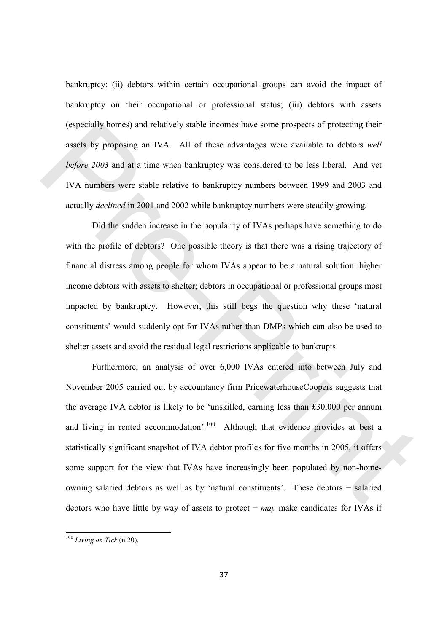bankruptcy; (ii) debtors within certain occupational groups can avoid the impact of bankruptcy on their occupational or professional status; (iii) debtors with assets (especially homes) and relatively stable incomes have some prospects of protecting their assets by proposing an IVA. All of these advantages were available to debtors well before 2003 and at a time when bankruptcy was considered to be less liberal. And yet IVA numbers were stable relative to bankruptcy numbers between 1999 and 2003 and actually declined in 2001 and 2002 while bankruptcy numbers were steadily growing.

Did the sudden increase in the popularity of IVAs perhaps have something to do with the profile of debtors? One possible theory is that there was a rising trajectory of financial distress among people for whom IVAs appear to be a natural solution: higher income debtors with assets to shelter; debtors in occupational or professional groups most impacted by bankruptcy. However, this still begs the question why these 'natural constituents' would suddenly opt for IVAs rather than DMPs which can also be used to shelter assets and avoid the residual legal restrictions applicable to bankrupts.

Furthermore, an analysis of over 6,000 IVAs entered into between July and November 2005 carried out by accountancy firm PricewaterhouseCoopers suggests that the average IVA debtor is likely to be 'unskilled, earning less than £30,000 per annum and living in rented accommodation'.<sup>100</sup> Although that evidence provides at best a statistically significant snapshot of IVA debtor profiles for five months in 2005, it offers some support for the view that IVAs have increasingly been populated by non-homeowning salaried debtors as well as by 'natural constituents'. These debtors − salaried debtors who have little by way of assets to protect – may make candidates for IVAs if (especially homes) and relatively stable incomes have some prospects of protecting their<br>assets by proposing an IVA. All of these advantages were available to debtors *well*<br>before 2003 and at a time when bankruptcy was c

 $\overline{\phantom{a}}$ 

 $100$  Living on Tick (n 20).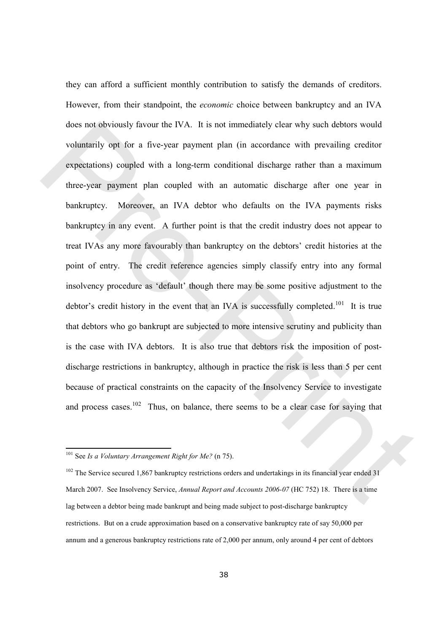they can afford a sufficient monthly contribution to satisfy the demands of creditors. However, from their standpoint, the economic choice between bankruptcy and an IVA does not obviously favour the IVA. It is not immediately clear why such debtors would voluntarily opt for a five-year payment plan (in accordance with prevailing creditor expectations) coupled with a long-term conditional discharge rather than a maximum three-year payment plan coupled with an automatic discharge after one year in bankruptcy. Moreover, an IVA debtor who defaults on the IVA payments risks bankruptcy in any event. A further point is that the credit industry does not appear to treat IVAs any more favourably than bankruptcy on the debtors' credit histories at the point of entry. The credit reference agencies simply classify entry into any formal insolvency procedure as 'default' though there may be some positive adjustment to the debtor's credit history in the event that an IVA is successfully completed.<sup>101</sup> It is true that debtors who go bankrupt are subjected to more intensive scrutiny and publicity than is the case with IVA debtors. It is also true that debtors risk the imposition of postdischarge restrictions in bankruptcy, although in practice the risk is less than 5 per cent because of practical constraints on the capacity of the Insolvency Service to investigate and process cases.<sup>102</sup> Thus, on balance, there seems to be a clear case for saying that does not obviously favour the IVA. It is not immediately clear why such debtors would<br>voluntarily opt for a five-year payment plan (in accordance with prevailing creditor<br>expectations) coupled with a long-term conditional

 $101$  See Is a Voluntary Arrangement Right for Me? (n 75).

<sup>&</sup>lt;sup>102</sup> The Service secured 1,867 bankruptcy restrictions orders and undertakings in its financial year ended 31 March 2007. See Insolvency Service, Annual Report and Accounts 2006-07 (HC 752) 18. There is a time lag between a debtor being made bankrupt and being made subject to post-discharge bankruptcy restrictions. But on a crude approximation based on a conservative bankruptcy rate of say 50,000 per annum and a generous bankruptcy restrictions rate of 2,000 per annum, only around 4 per cent of debtors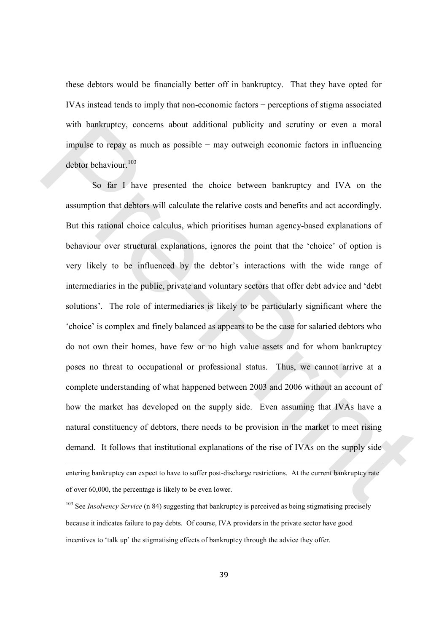these debtors would be financially better off in bankruptcy. That they have opted for IVAs instead tends to imply that non-economic factors − perceptions of stigma associated with bankruptcy, concerns about additional publicity and scrutiny or even a moral impulse to repay as much as possible − may outweigh economic factors in influencing debtor behaviour.<sup>103</sup>

So far I have presented the choice between bankruptcy and IVA on the assumption that debtors will calculate the relative costs and benefits and act accordingly. But this rational choice calculus, which prioritises human agency-based explanations of behaviour over structural explanations, ignores the point that the 'choice' of option is very likely to be influenced by the debtor's interactions with the wide range of intermediaries in the public, private and voluntary sectors that offer debt advice and 'debt solutions'. The role of intermediaries is likely to be particularly significant where the 'choice' is complex and finely balanced as appears to be the case for salaried debtors who do not own their homes, have few or no high value assets and for whom bankruptcy poses no threat to occupational or professional status. Thus, we cannot arrive at a complete understanding of what happened between 2003 and 2006 without an account of how the market has developed on the supply side. Even assuming that IVAs have a natural constituency of debtors, there needs to be provision in the market to meet rising demand. It follows that institutional explanations of the rise of IVAs on the supply side with hankruptcy, concerns about additional publicity and scrutiny or even a moral<br>impulse to repay as much as possible – may outweigh comonnic factors in influencing<br>debtor behaviour.<sup>100</sup><br>So far 1 have presented the choi

l

entering bankruptcy can expect to have to suffer post-discharge restrictions. At the current bankruptcy rate of over 60,000, the percentage is likely to be even lower.

 $103$  See *Insolvency Service* (n 84) suggesting that bankruptcy is perceived as being stigmatising precisely because it indicates failure to pay debts. Of course, IVA providers in the private sector have good incentives to 'talk up' the stigmatising effects of bankruptcy through the advice they offer.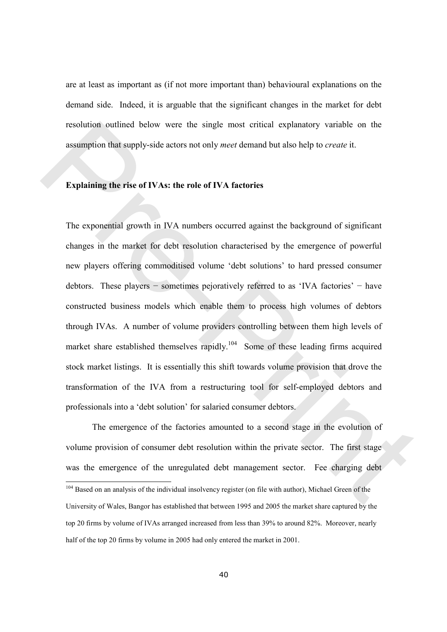are at least as important as (if not more important than) behavioural explanations on the demand side. Indeed, it is arguable that the significant changes in the market for debt resolution outlined below were the single most critical explanatory variable on the assumption that supply-side actors not only meet demand but also help to create it.

#### Explaining the rise of IVAs: the role of IVA factories

The exponential growth in IVA numbers occurred against the background of significant changes in the market for debt resolution characterised by the emergence of powerful new players offering commoditised volume 'debt solutions' to hard pressed consumer debtors. These players − sometimes pejoratively referred to as 'IVA factories' − have constructed business models which enable them to process high volumes of debtors through IVAs. A number of volume providers controlling between them high levels of market share established themselves rapidly.<sup>104</sup> Some of these leading firms acquired stock market listings. It is essentially this shift towards volume provision that drove the transformation of the IVA from a restructuring tool for self-employed debtors and professionals into a 'debt solution' for salaried consumer debtors. resolution outlined below were the single most critical explanatory variable on the<br>assumption that supply-side actors not only *moet* demand but also help to *create* it.<br>**Explaining the rise of IVAs: the role of IVA fac** 

The emergence of the factories amounted to a second stage in the evolution of volume provision of consumer debt resolution within the private sector. The first stage was the emergence of the unregulated debt management sector. Fee charging debt  $\overline{a}$ <sup>104</sup> Based on an analysis of the individual insolvency register (on file with author), Michael Green of the University of Wales, Bangor has established that between 1995 and 2005 the market share captured by the top 20 firms by volume of IVAs arranged increased from less than 39% to around 82%. Moreover, nearly half of the top 20 firms by volume in 2005 had only entered the market in 2001.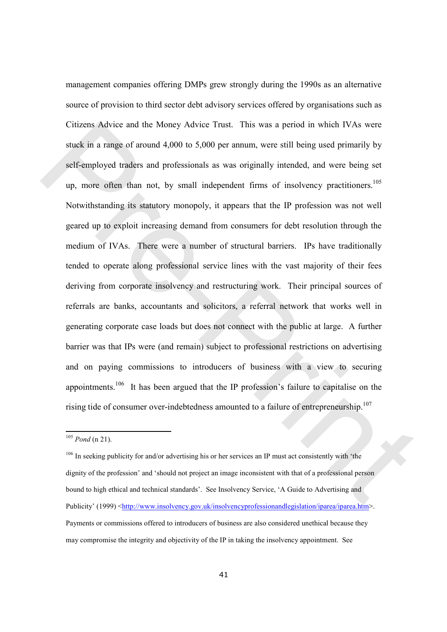management companies offering DMPs grew strongly during the 1990s as an alternative source of provision to third sector debt advisory services offered by organisations such as Citizens Advice and the Money Advice Trust. This was a period in which IVAs were stuck in a range of around 4,000 to 5,000 per annum, were still being used primarily by self-employed traders and professionals as was originally intended, and were being set up, more often than not, by small independent firms of insolvency practitioners.<sup>105</sup> Notwithstanding its statutory monopoly, it appears that the IP profession was not well geared up to exploit increasing demand from consumers for debt resolution through the medium of IVAs. There were a number of structural barriers. IPs have traditionally tended to operate along professional service lines with the vast majority of their fees deriving from corporate insolvency and restructuring work. Their principal sources of referrals are banks, accountants and solicitors, a referral network that works well in generating corporate case loads but does not connect with the public at large. A further barrier was that IPs were (and remain) subject to professional restrictions on advertising and on paying commissions to introducers of business with a view to securing appointments.<sup>106</sup> It has been argued that the IP profession's failure to capitalise on the rising tide of consumer over-indebtedness amounted to a failure of entrepreneurship.<sup>107</sup> Citizens Advice and the Money Advice Trust. This was a period in which IVAs were<br>stuck in a range of around 4,000 to 5,000 per anaum, were still being used primarily by<br>self-employed traders and professionals as was origi

 $105$  *Pond* (n 21).

<sup>&</sup>lt;sup>106</sup> In seeking publicity for and/or advertising his or her services an IP must act consistently with 'the dignity of the profession' and 'should not project an image inconsistent with that of a professional person bound to high ethical and technical standards'. See Insolvency Service, 'A Guide to Advertising and Publicity' (1999) <http://www.insolvency.gov.uk/insolvencyprofessionandlegislation/iparea/iparea.htm>. Payments or commissions offered to introducers of business are also considered unethical because they may compromise the integrity and objectivity of the IP in taking the insolvency appointment. See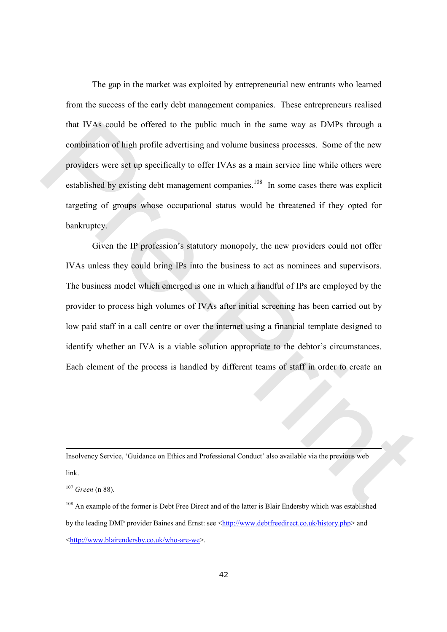The gap in the market was exploited by entrepreneurial new entrants who learned from the success of the early debt management companies. These entrepreneurs realised that IVAs could be offered to the public much in the same way as DMPs through a combination of high profile advertising and volume business processes. Some of the new providers were set up specifically to offer IVAs as a main service line while others were established by existing debt management companies.<sup>108</sup> In some cases there was explicit targeting of groups whose occupational status would be threatened if they opted for bankruptcy.

Given the IP profession's statutory monopoly, the new providers could not offer IVAs unless they could bring IPs into the business to act as nominees and supervisors. The business model which emerged is one in which a handful of IPs are employed by the provider to process high volumes of IVAs after initial screening has been carried out by low paid staff in a call centre or over the internet using a financial template designed to identify whether an IVA is a viable solution appropriate to the debtor's circumstances. Each element of the process is handled by different teams of staff in order to create an that IVAs could be offered to the public much in the same way as DMPs though a<br>combination of high profile advertising and volume business processes. Some of the new<br>providers were set up specifically to offer IVAs as a ma

Insolvency Service, 'Guidance on Ethics and Professional Conduct' also available via the previous web link.

 $107$  Green (n 88).

l

<sup>108</sup> An example of the former is Debt Free Direct and of the latter is Blair Endersby which was established by the leading DMP provider Baines and Ernst: see <http://www.debtfreedirect.co.uk/history.php> and <http://www.blairendersby.co.uk/who-are-we>.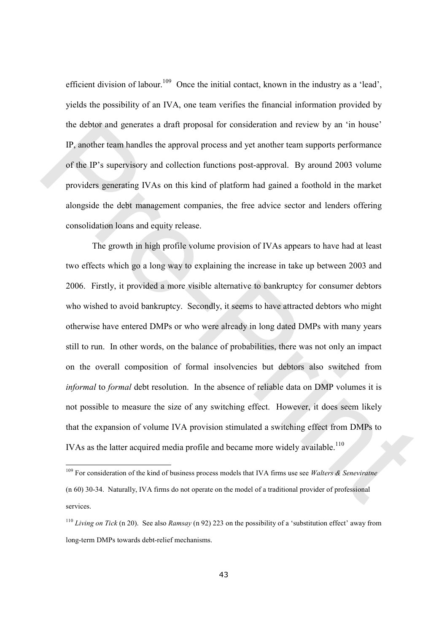efficient division of labour.<sup>109</sup> Once the initial contact, known in the industry as a 'lead', yields the possibility of an IVA, one team verifies the financial information provided by the debtor and generates a draft proposal for consideration and review by an 'in house' IP, another team handles the approval process and yet another team supports performance of the IP's supervisory and collection functions post-approval. By around 2003 volume providers generating IVAs on this kind of platform had gained a foothold in the market alongside the debt management companies, the free advice sector and lenders offering consolidation loans and equity release.

The growth in high profile volume provision of IVAs appears to have had at least two effects which go a long way to explaining the increase in take up between 2003 and 2006. Firstly, it provided a more visible alternative to bankruptcy for consumer debtors who wished to avoid bankruptcy. Secondly, it seems to have attracted debtors who might otherwise have entered DMPs or who were already in long dated DMPs with many years still to run. In other words, on the balance of probabilities, there was not only an impact on the overall composition of formal insolvencies but debtors also switched from informal to formal debt resolution. In the absence of reliable data on DMP volumes it is not possible to measure the size of any switching effect. However, it does seem likely that the expansion of volume IVA provision stimulated a switching effect from DMPs to IVAs as the latter acquired media profile and became more widely available.<sup>110</sup> the delton and generates a draft proposal for consideration and review by an 'in house'<br>
IP, snother team handles the approval process and yet another team supports performance<br>
of the IP's supervisory and collection func

<sup>&</sup>lt;sup>109</sup> For consideration of the kind of business process models that IVA firms use see Walters & Seneviratne (n 60) 30-34. Naturally, IVA firms do not operate on the model of a traditional provider of professional services.

<sup>&</sup>lt;sup>110</sup> Living on Tick (n 20). See also Ramsay (n 92) 223 on the possibility of a 'substitution effect' away from long-term DMPs towards debt-relief mechanisms.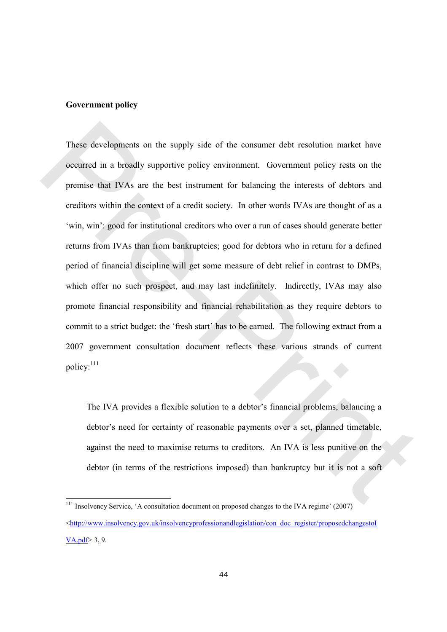#### Government policy

 $\overline{a}$ 

These developments on the supply side of the consumer debt resolution market have occurred in a broadly supportive policy environment. Government policy rests on the premise that IVAs are the best instrument for balancing the interests of debtors and creditors within the context of a credit society. In other words IVAs are thought of as a 'win, win': good for institutional creditors who over a run of cases should generate better returns from IVAs than from bankruptcies; good for debtors who in return for a defined period of financial discipline will get some measure of debt relief in contrast to DMPs, which offer no such prospect, and may last indefinitely. Indirectly, IVAs may also promote financial responsibility and financial rehabilitation as they require debtors to commit to a strict budget: the 'fresh start' has to be earned. The following extract from a 2007 government consultation document reflects these various strands of current policy:<sup>111</sup> These developments on the supply side of the consumer debt resolution market have<br>occurred in a lovadly supportive policy environment. Government policy rests on the<br>premise that IVAs are the best instrument for balancing

The IVA provides a flexible solution to a debtor's financial problems, balancing a debtor's need for certainty of reasonable payments over a set, planned timetable, against the need to maximise returns to creditors. An IVA is less punitive on the debtor (in terms of the restrictions imposed) than bankruptcy but it is not a soft

<sup>&</sup>lt;sup>111</sup> Insolvency Service, 'A consultation document on proposed changes to the IVA regime' (2007)  $\text{Khttp://www.insolvency.gov.uk/insolvencyprofession}$  $VA.pdf$  3, 9.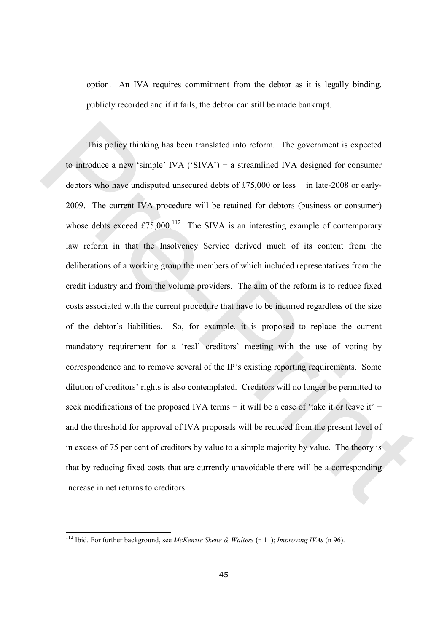option. An IVA requires commitment from the debtor as it is legally binding, publicly recorded and if it fails, the debtor can still be made bankrupt.

This policy thinking has been translated into reform. The government is expected to introduce a new 'simple' IVA ('SIVA') − a streamlined IVA designed for consumer debtors who have undisputed unsecured debts of £75,000 or less − in late-2008 or early-2009. The current IVA procedure will be retained for debtors (business or consumer) whose debts exceed £75,000.<sup>112</sup> The SIVA is an interesting example of contemporary law reform in that the Insolvency Service derived much of its content from the deliberations of a working group the members of which included representatives from the credit industry and from the volume providers. The aim of the reform is to reduce fixed costs associated with the current procedure that have to be incurred regardless of the size of the debtor's liabilities. So, for example, it is proposed to replace the current mandatory requirement for a 'real' creditors' meeting with the use of voting by correspondence and to remove several of the IP's existing reporting requirements. Some dilution of creditors' rights is also contemplated. Creditors will no longer be permitted to seek modifications of the proposed IVA terms – it will be a case of 'take it or leave it' – and the threshold for approval of IVA proposals will be reduced from the present level of in excess of 75 per cent of creditors by value to a simple majority by value. The theory is that by reducing fixed costs that are currently unavoidable there will be a corresponding increase in net returns to creditors. This policy thinking has been translated into reform. The government is expected<br>to introduce a new 'simple' IVA ('SIVA') - a streamlined IVA designed for consumer<br>debtors who have undisputed unsecured debts of £75.000 or

 $\overline{\phantom{a}}$ 

<sup>&</sup>lt;sup>112</sup> Ibid. For further background, see McKenzie Skene & Walters (n 11); Improving IVAs (n 96).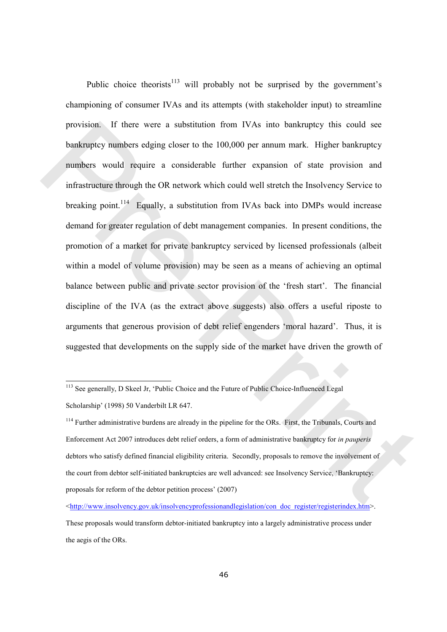Public choice theorists<sup>113</sup> will probably not be surprised by the government's championing of consumer IVAs and its attempts (with stakeholder input) to streamline provision. If there were a substitution from IVAs into bankruptcy this could see bankruptcy numbers edging closer to the 100,000 per annum mark. Higher bankruptcy numbers would require a considerable further expansion of state provision and infrastructure through the OR network which could well stretch the Insolvency Service to breaking point.<sup>114</sup> Equally, a substitution from IVAs back into DMPs would increase demand for greater regulation of debt management companies. In present conditions, the promotion of a market for private bankruptcy serviced by licensed professionals (albeit within a model of volume provision) may be seen as a means of achieving an optimal balance between public and private sector provision of the 'fresh start'. The financial discipline of the IVA (as the extract above suggests) also offers a useful riposte to arguments that generous provision of debt relief engenders 'moral hazard'. Thus, it is suggested that developments on the supply side of the market have driven the growth of provision. If there were a substitution from IVAs into bankruptcy this could see<br>bankruptcy numbers edging closer to the 100,000 per annum mark. Higher bankruptcy<br>numbers would require a considerable further expansion of

<sup>&</sup>lt;sup>113</sup> See generally, D Skeel Jr, 'Public Choice and the Future of Public Choice-Influenced Legal Scholarship' (1998) 50 Vanderbilt LR 647.

<sup>&</sup>lt;sup>114</sup> Further administrative burdens are already in the pipeline for the ORs. First, the Tribunals, Courts and Enforcement Act 2007 introduces debt relief orders, a form of administrative bankruptcy for in pauperis debtors who satisfy defined financial eligibility criteria. Secondly, proposals to remove the involvement of the court from debtor self-initiated bankruptcies are well advanced: see Insolvency Service, 'Bankruptcy: proposals for reform of the debtor petition process' (2007)

<sup>&</sup>lt;http://www.insolvency.gov.uk/insolvencyprofessionandlegislation/con\_doc\_register/registerindex.htm>. These proposals would transform debtor-initiated bankruptcy into a largely administrative process under the aegis of the ORs.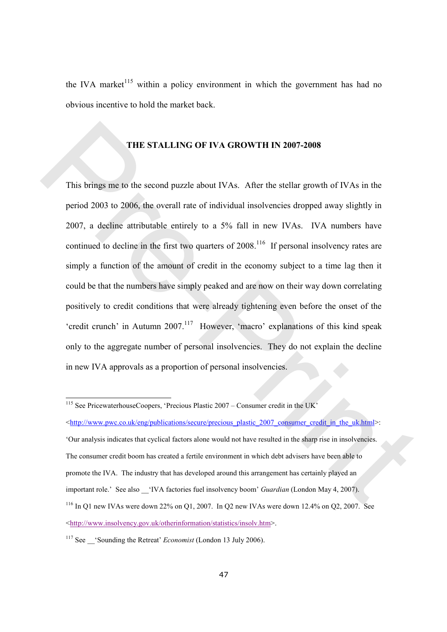the IVA market<sup>115</sup> within a policy environment in which the government has had no obvious incentive to hold the market back.

# THE STALLING OF IVA GROWTH IN 2007-2008

This brings me to the second puzzle about IVAs. After the stellar growth of IVAs in the period 2003 to 2006, the overall rate of individual insolvencies dropped away slightly in 2007, a decline attributable entirely to a 5% fall in new IVAs. IVA numbers have continued to decline in the first two quarters of  $2008$ .<sup>116</sup> If personal insolvency rates are simply a function of the amount of credit in the economy subject to a time lag then it could be that the numbers have simply peaked and are now on their way down correlating positively to credit conditions that were already tightening even before the onset of the 'credit crunch' in Autumn 2007.<sup>117</sup> However, 'macro' explanations of this kind speak only to the aggregate number of personal insolvencies. They do not explain the decline in new IVA approvals as a proportion of personal insolvencies. **THE STALLING OF IVA GROWTH IN 2007-2008**<br>
This brings me to the second puzzle about IVAs. After the stellar growth of IVAs in the<br>
period 2003 to 2006, the overall rate of individual insolvencies dropped away slightly in

<sup>&</sup>lt;sup>115</sup> See PricewaterhouseCoopers, 'Precious Plastic 2007 – Consumer credit in the UK' <http://www.pwc.co.uk/eng/publications/secure/precious\_plastic\_2007\_consumer\_credit\_in\_the\_uk.html>:

<sup>&#</sup>x27;Our analysis indicates that cyclical factors alone would not have resulted in the sharp rise in insolvencies. The consumer credit boom has created a fertile environment in which debt advisers have been able to promote the IVA. The industry that has developed around this arrangement has certainly played an important role.' See also 'IVA factories fuel insolvency boom' Guardian (London May 4, 2007). <sup>116</sup> In Q1 new IVAs were down 22% on Q1, 2007. In Q2 new IVAs were down 12.4% on Q2, 2007. See <http://www.insolvency.gov.uk/otherinformation/statistics/insolv.htm>.

<sup>&</sup>lt;sup>117</sup> See Sounding the Retreat' *Economist* (London 13 July 2006).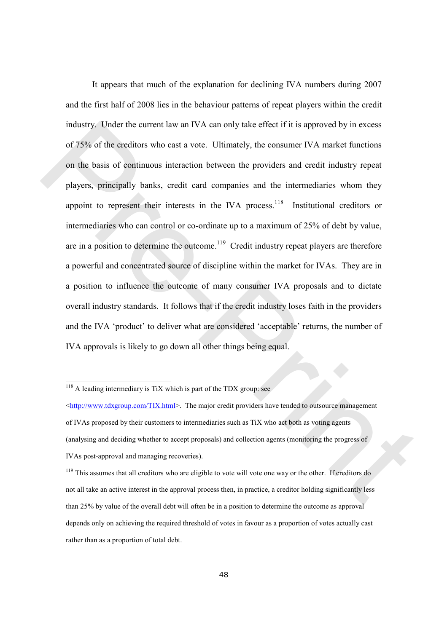It appears that much of the explanation for declining IVA numbers during 2007 and the first half of 2008 lies in the behaviour patterns of repeat players within the credit industry. Under the current law an IVA can only take effect if it is approved by in excess of 75% of the creditors who cast a vote. Ultimately, the consumer IVA market functions on the basis of continuous interaction between the providers and credit industry repeat players, principally banks, credit card companies and the intermediaries whom they appoint to represent their interests in the IVA process.<sup>118</sup> Institutional creditors or intermediaries who can control or co-ordinate up to a maximum of 25% of debt by value, are in a position to determine the outcome.<sup>119</sup> Credit industry repeat players are therefore a powerful and concentrated source of discipline within the market for IVAs. They are in a position to influence the outcome of many consumer IVA proposals and to dictate overall industry standards. It follows that if the credit industry loses faith in the providers and the IVA 'product' to deliver what are considered 'acceptable' returns, the number of IVA approvals is likely to go down all other things being equal. industry. Under the current law an IVA can only take effect if it is approved by in excess<br>of 73% of the creditors who cast a vote. Ultimately, the consumer IVA market functions<br>on the basis of continuous interaction betw

 $118$  A leading intermediary is TiX which is part of the TDX group: see

 $\langle \text{http://www.tdxgroup.com/TIX.html}>$ . The major credit providers have tended to outsource management of IVAs proposed by their customers to intermediaries such as TiX who act both as voting agents (analysing and deciding whether to accept proposals) and collection agents (monitoring the progress of IVAs post-approval and managing recoveries).

<sup>&</sup>lt;sup>119</sup> This assumes that all creditors who are eligible to vote will vote one way or the other. If creditors do not all take an active interest in the approval process then, in practice, a creditor holding significantly less than 25% by value of the overall debt will often be in a position to determine the outcome as approval depends only on achieving the required threshold of votes in favour as a proportion of votes actually cast rather than as a proportion of total debt.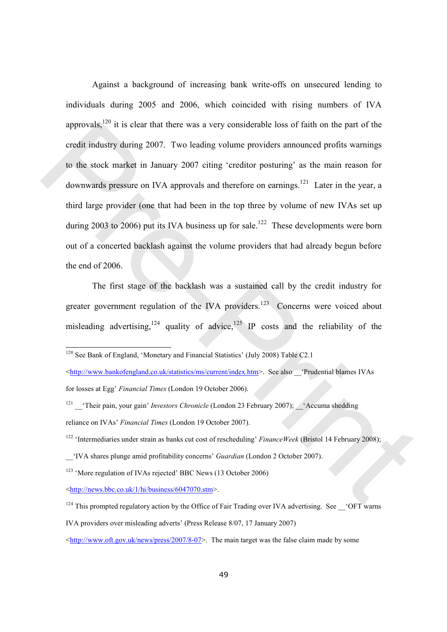Against a background of increasing bank write-offs on unsecured lending to individuals during 2005 and 2006, which coincided with rising numbers of IVA approvals, $120$  it is clear that there was a very considerable loss of faith on the part of the credit industry during 2007. Two leading volume providers announced profits warnings to the stock market in January 2007 citing 'creditor posturing' as the main reason for downwards pressure on IVA approvals and therefore on earnings.<sup>121</sup> Later in the year, a third large provider (one that had been in the top three by volume of new IVAs set up during 2003 to 2006) put its IVA business up for sale.<sup>122</sup> These developments were born out of a concerted backlash against the volume providers that had already begun before the end of 2006. approvals,<sup>103</sup> it is clear that there was a very considerable loss of faith on the part of the<br>credit industry during 2007. I wo leading volume providers amounced profits warmings<br>to the stock market in January 2007 citi

The first stage of the backlash was a sustained call by the credit industry for greater government regulation of the IVA providers.<sup>123</sup> Concerns were voiced about misleading advertising,<sup>124</sup> quality of advice,<sup>125</sup> IP costs and the reliability of the

<sup>120</sup> See Bank of England, 'Monetary and Financial Statistics' (July 2008) Table C2.1

<sup>&</sup>lt;http://www.bankofengland.co.uk/statistics/ms/current/index.htm>. See also \_\_'Prudential blames IVAs for losses at Egg' Financial Times (London 19 October 2006).

<sup>&</sup>lt;sup>121</sup> 'Their pain, your gain' *Investors Chronicle* (London 23 February 2007);  $\checkmark$  Accuma shedding reliance on IVAs' Financial Times (London 19 October 2007).

<sup>&</sup>lt;sup>122</sup> 'Intermediaries under strain as banks cut cost of rescheduling' FinanceWeek (Bristol 14 February 2008);

\_\_'IVA shares plunge amid profitability concerns' Guardian (London 2 October 2007).

<sup>123</sup> 'More regulation of IVAs rejected' BBC News (13 October 2006)

 $\langle \frac{http://news.bbc.co.uk/1/hi/business/6047070.stm}{$ 

<sup>&</sup>lt;sup>124</sup> This prompted regulatory action by the Office of Fair Trading over IVA advertising. See \_\_\_'OFT warns

IVA providers over misleading adverts' (Press Release 8/07, 17 January 2007)

 $\frac{\text{th}}{\text{t}}$  /www.oft.gov.uk/news/press/2007/8-07>. The main target was the false claim made by some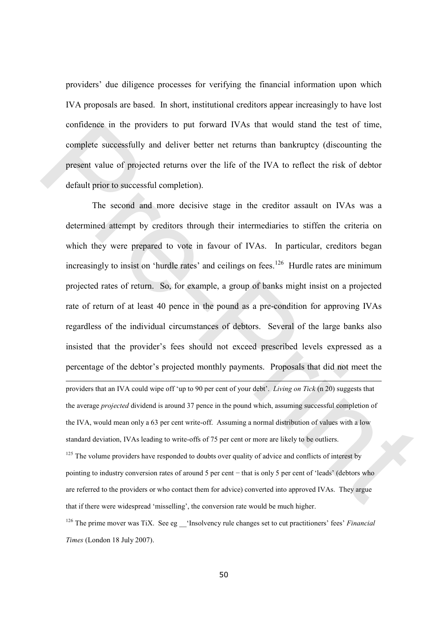providers' due diligence processes for verifying the financial information upon which IVA proposals are based. In short, institutional creditors appear increasingly to have lost confidence in the providers to put forward IVAs that would stand the test of time, complete successfully and deliver better net returns than bankruptcy (discounting the present value of projected returns over the life of the IVA to reflect the risk of debtor default prior to successful completion).

 The second and more decisive stage in the creditor assault on IVAs was a determined attempt by creditors through their intermediaries to stiffen the criteria on which they were prepared to vote in favour of IVAs. In particular, creditors began increasingly to insist on 'hurdle rates' and ceilings on fees.<sup>126</sup> Hurdle rates are minimum projected rates of return. So, for example, a group of banks might insist on a projected rate of return of at least 40 pence in the pound as a pre-condition for approving IVAs regardless of the individual circumstances of debtors. Several of the large banks also insisted that the provider's fees should not exceed prescribed levels expressed as a percentage of the debtor's projected monthly payments. Proposals that did not meet the l providers that an IVA could wipe off 'up to 90 per cent of your debt'. Living on Tick (n 20) suggests that the average *projected* dividend is around 37 pence in the pound which, assuming successful completion of the IVA, would mean only a 63 per cent write-off. Assuming a normal distribution of values with a low standard deviation, IVAs leading to write-offs of 75 per cent or more are likely to be outliers.  $125$  The volume providers have responded to doubts over quality of advice and conflicts of interest by pointing to industry conversion rates of around 5 per cent − that is only 5 per cent of 'leads' (debtors who are referred to the providers or who contact them for advice) converted into approved IVAs. They argue confidence in the providers to put forward IVAs that would stand the test of time,<br>complete successfully and deliver better net returns than bankruptcy (discounting the<br>present value of projected returns over the life of

that if there were widespread 'misselling', the conversion rate would be much higher.

 $126$  The prime mover was TiX. See eg  $\phantom{0}$  'Insolvency rule changes set to cut practitioners' fees' Financial Times (London 18 July 2007).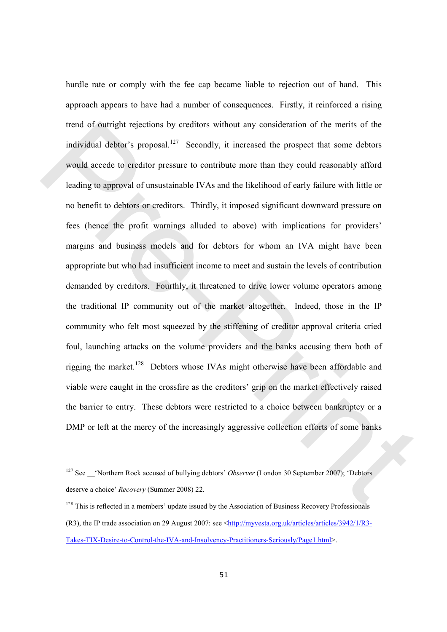hurdle rate or comply with the fee cap became liable to rejection out of hand. This approach appears to have had a number of consequences. Firstly, it reinforced a rising trend of outright rejections by creditors without any consideration of the merits of the individual debtor's proposal.<sup>127</sup> Secondly, it increased the prospect that some debtors would accede to creditor pressure to contribute more than they could reasonably afford leading to approval of unsustainable IVAs and the likelihood of early failure with little or no benefit to debtors or creditors. Thirdly, it imposed significant downward pressure on fees (hence the profit warnings alluded to above) with implications for providers' margins and business models and for debtors for whom an IVA might have been appropriate but who had insufficient income to meet and sustain the levels of contribution demanded by creditors. Fourthly, it threatened to drive lower volume operators among the traditional IP community out of the market altogether. Indeed, those in the IP community who felt most squeezed by the stiffening of creditor approval criteria cried foul, launching attacks on the volume providers and the banks accusing them both of rigging the market.<sup>128</sup> Debtors whose IVAs might otherwise have been affordable and viable were caught in the crossfire as the creditors' grip on the market effectively raised the barrier to entry. These debtors were restricted to a choice between bankruptcy or a DMP or left at the mercy of the increasingly aggressive collection efforts of some banks tiend of outright rejections by creditors without any consideration of the merits of the individual debtor's proposal.<sup>137</sup> Scoondy, it increased the prospect that some debtors<br>would accede to creditor pressure to contrib

<sup>&</sup>lt;sup>127</sup> See  $\_\text{center}$  'Northern Rock accused of bullying debtors' *Observer* (London 30 September 2007); 'Debtors deserve a choice' Recovery (Summer 2008) 22.

<sup>&</sup>lt;sup>128</sup> This is reflected in a members' update issued by the Association of Business Recovery Professionals (R3), the IP trade association on 29 August 2007: see <http://myvesta.org.uk/articles/articles/3942/1/R3- Takes-TIX-Desire-to-Control-the-IVA-and-Insolvency-Practitioners-Seriously/Page1.html>.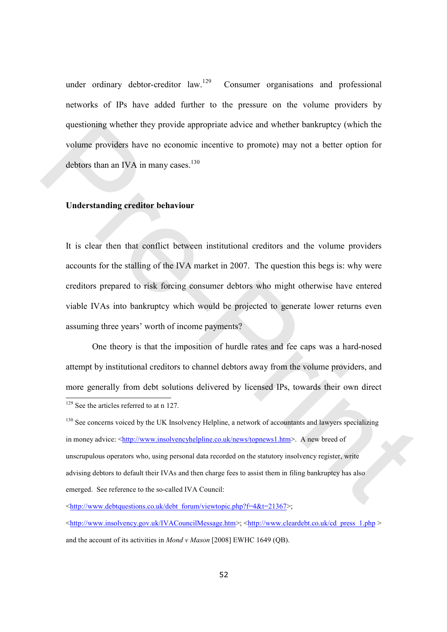under ordinary debtor-creditor  $law$ .<sup>129</sup> Consumer organisations and professional networks of IPs have added further to the pressure on the volume providers by questioning whether they provide appropriate advice and whether bankruptcy (which the volume providers have no economic incentive to promote) may not a better option for debtors than an IVA in many cases. $130$ 

# Understanding creditor behaviour

It is clear then that conflict between institutional creditors and the volume providers accounts for the stalling of the IVA market in 2007. The question this begs is: why were creditors prepared to risk forcing consumer debtors who might otherwise have entered viable IVAs into bankruptcy which would be projected to generate lower returns even assuming three years' worth of income payments? questioning whether they provide appropriate advice and whether bankruptcy (which the<br>volume providers have no economic incentive to premote) may not a better option for<br>debtors than an IVA in many cases.<sup>136</sup><br>**Understand** 

 One theory is that the imposition of hurdle rates and fee caps was a hard-nosed attempt by institutional creditors to channel debtors away from the volume providers, and more generally from debt solutions delivered by licensed IPs, towards their own direct  $\overline{a}$ <sup>129</sup> See the articles referred to at n 127.

<sup>130</sup> See concerns voiced by the UK Insolvency Helpline, a network of accountants and lawyers specializing in money advice: <http://www.insolvencyhelpline.co.uk/news/topnews1.htm>. A new breed of unscrupulous operators who, using personal data recorded on the statutory insolvency register, write advising debtors to default their IVAs and then charge fees to assist them in filing bankruptcy has also emerged. See reference to the so-called IVA Council:

<http://www.debtquestions.co.uk/debt\_forum/viewtopic.php?f=4&t=21367>;

 $\text{~d}$ thtp://www.insolvency.gov.uk/IVACouncilMessage.htm>; <http://www.cleardebt.co.uk/cd\_press\_1.php > and the account of its activities in Mond v Mason [2008] EWHC 1649 (QB).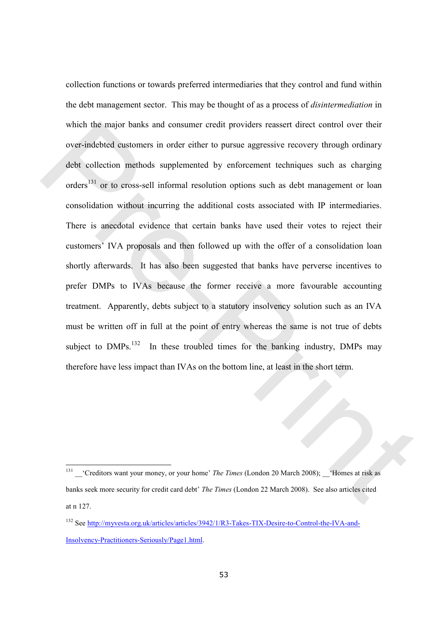collection functions or towards preferred intermediaries that they control and fund within the debt management sector. This may be thought of as a process of disintermediation in which the major banks and consumer credit providers reassert direct control over their over-indebted customers in order either to pursue aggressive recovery through ordinary debt collection methods supplemented by enforcement techniques such as charging orders<sup>131</sup> or to cross-sell informal resolution options such as debt management or loan consolidation without incurring the additional costs associated with IP intermediaries. There is anecdotal evidence that certain banks have used their votes to reject their customers' IVA proposals and then followed up with the offer of a consolidation loan shortly afterwards. It has also been suggested that banks have perverse incentives to prefer DMPs to IVAs because the former receive a more favourable accounting treatment. Apparently, debts subject to a statutory insolvency solution such as an IVA must be written off in full at the point of entry whereas the same is not true of debts subject to  $DMPs$ <sup>132</sup> In these troubled times for the banking industry, DMPs may therefore have less impact than IVAs on the bottom line, at least in the short term. which the major hanks and consumer credit providers reassert direct control over their<br>over-indebted eastomers in order either to pursue aggressive recovery through ordinary<br>debt collection methods supplemented by unforce

 $131$   $\rightarrow$  'Creditors want your money, or your home' *The Times* (London 20 March 2008);  $\rightarrow$  'Homes at risk as banks seek more security for credit card debt' The Times (London 22 March 2008). See also articles cited at n 127.

<sup>132</sup> See http://myvesta.org.uk/articles/articles/3942/1/R3-Takes-TIX-Desire-to-Control-the-IVA-and-Insolvency-Practitioners-Seriously/Page1.html.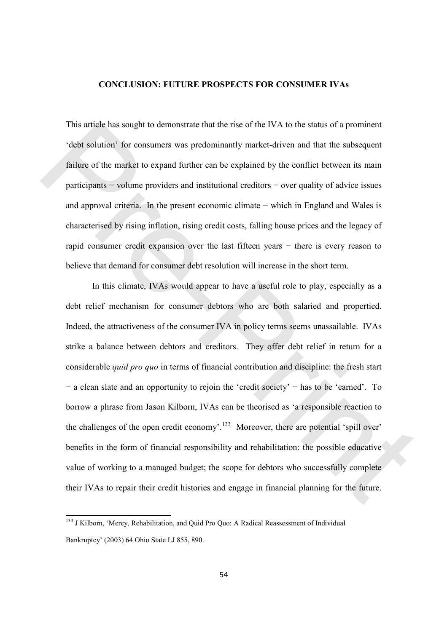#### CONCLUSION: FUTURE PROSPECTS FOR CONSUMER IVAs

This article has sought to demonstrate that the rise of the IVA to the status of a prominent 'debt solution' for consumers was predominantly market-driven and that the subsequent failure of the market to expand further can be explained by the conflict between its main participants − volume providers and institutional creditors − over quality of advice issues and approval criteria. In the present economic climate − which in England and Wales is characterised by rising inflation, rising credit costs, falling house prices and the legacy of rapid consumer credit expansion over the last fifteen years − there is every reason to believe that demand for consumer debt resolution will increase in the short term.

In this climate, IVAs would appear to have a useful role to play, especially as a debt relief mechanism for consumer debtors who are both salaried and propertied. Indeed, the attractiveness of the consumer IVA in policy terms seems unassailable. IVAs strike a balance between debtors and creditors. They offer debt relief in return for a considerable quid pro quo in terms of financial contribution and discipline: the fresh start − a clean slate and an opportunity to rejoin the 'credit society' − has to be 'earned'. To borrow a phrase from Jason Kilborn, IVAs can be theorised as 'a responsible reaction to the challenges of the open credit economy'.<sup>133</sup> Moreover, there are potential 'spill over' benefits in the form of financial responsibility and rehabilitation: the possible educative value of working to a managed budget; the scope for debtors who successfully complete their IVAs to repair their credit histories and engage in financial planning for the future. This article has sought to demonstrate that the rise of the IVA to the status of a prominent<br>
"dobt solution" for consumers was prodominantly market-driven and that the subsequent<br>
finiture of the market to expand further

<sup>&</sup>lt;sup>133</sup> J Kilborn, 'Mercy, Rehabilitation, and Quid Pro Quo: A Radical Reassessment of Individual Bankruptcy' (2003) 64 Ohio State LJ 855, 890.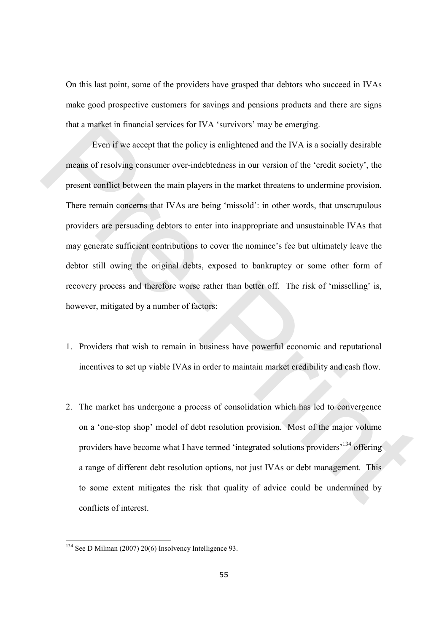On this last point, some of the providers have grasped that debtors who succeed in IVAs make good prospective customers for savings and pensions products and there are signs that a market in financial services for IVA 'survivors' may be emerging.

Even if we accept that the policy is enlightened and the IVA is a socially desirable means of resolving consumer over-indebtedness in our version of the 'credit society', the present conflict between the main players in the market threatens to undermine provision. There remain concerns that IVAs are being 'missold': in other words, that unscrupulous providers are persuading debtors to enter into inappropriate and unsustainable IVAs that may generate sufficient contributions to cover the nominee's fee but ultimately leave the debtor still owing the original debts, exposed to bankruptcy or some other form of recovery process and therefore worse rather than better off. The risk of 'misselling' is, however, mitigated by a number of factors: that a market in financial services for IVA 'sarvivors' may be emerging.<br>
Even if we accept that the policy is enlightened and the IVA is a socially desirable<br>
means of resolving consumer over-indebtedness in our version o

- 1. Providers that wish to remain in business have powerful economic and reputational incentives to set up viable IVAs in order to maintain market credibility and cash flow.
- 2. The market has undergone a process of consolidation which has led to convergence on a 'one-stop shop' model of debt resolution provision. Most of the major volume providers have become what I have termed 'integrated solutions providers'<sup>134</sup> offering a range of different debt resolution options, not just IVAs or debt management. This to some extent mitigates the risk that quality of advice could be undermined by conflicts of interest.

 $134$  See D Milman (2007) 20(6) Insolvency Intelligence 93.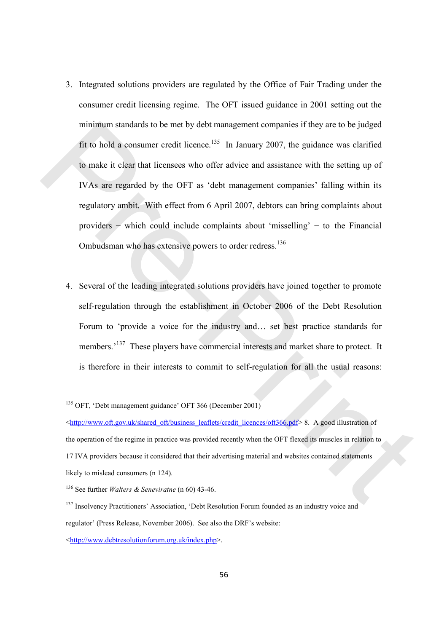- 3. Integrated solutions providers are regulated by the Office of Fair Trading under the consumer credit licensing regime. The OFT issued guidance in 2001 setting out the minimum standards to be met by debt management companies if they are to be judged fit to hold a consumer credit licence.<sup>135</sup> In January 2007, the guidance was clarified to make it clear that licensees who offer advice and assistance with the setting up of IVAs are regarded by the OFT as 'debt management companies' falling within its regulatory ambit. With effect from 6 April 2007, debtors can bring complaints about providers − which could include complaints about 'misselling' − to the Financial Ombudsman who has extensive powers to order redress.<sup>136</sup> minimum standards to be met by debt management companies if they are to be judged<br>
fit to hold a consumer credit licence.<sup>135</sup> in January 2007, the guidance was clarified<br>
to make it clear that licensess who offer advice
	- 4. Several of the leading integrated solutions providers have joined together to promote self-regulation through the establishment in October 2006 of the Debt Resolution Forum to 'provide a voice for the industry and… set best practice standards for members.<sup>137</sup> These players have commercial interests and market share to protect. It is therefore in their interests to commit to self-regulation for all the usual reasons:

<sup>135</sup> OFT, 'Debt management guidance' OFT 366 (December 2001)

<sup>&</sup>lt;http://www.oft.gov.uk/shared\_oft/business\_leaflets/credit\_licences/oft366.pdf> 8. A good illustration of the operation of the regime in practice was provided recently when the OFT flexed its muscles in relation to 17 IVA providers because it considered that their advertising material and websites contained statements likely to mislead consumers (n 124).

<sup>&</sup>lt;sup>136</sup> See further *Walters & Seneviratne* (n 60) 43-46.

<sup>&</sup>lt;sup>137</sup> Insolvency Practitioners' Association, 'Debt Resolution Forum founded as an industry voice and regulator' (Press Release, November 2006). See also the DRF's website: <http://www.debtresolutionforum.org.uk/index.php>.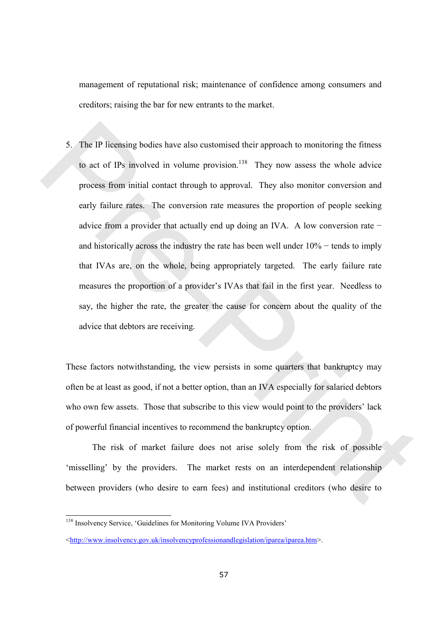management of reputational risk; maintenance of confidence among consumers and creditors; raising the bar for new entrants to the market.

5. The IP licensing bodies have also customised their approach to monitoring the fitness to act of IPs involved in volume provision.<sup>138</sup> They now assess the whole advice process from initial contact through to approval. They also monitor conversion and early failure rates. The conversion rate measures the proportion of people seeking advice from a provider that actually end up doing an IVA. A low conversion rate − and historically across the industry the rate has been well under 10% − tends to imply that IVAs are, on the whole, being appropriately targeted. The early failure rate measures the proportion of a provider's IVAs that fail in the first year. Needless to say, the higher the rate, the greater the cause for concern about the quality of the advice that debtors are receiving. S. The IP licensing bodies have also eustomised their approach to monitoring the fitness<br>to act of IPs involved in volume provision.<sup>158</sup> They now assess the whole advice<br>process from initial contact through to approval.

These factors notwithstanding, the view persists in some quarters that bankruptcy may often be at least as good, if not a better option, than an IVA especially for salaried debtors who own few assets. Those that subscribe to this view would point to the providers' lack of powerful financial incentives to recommend the bankruptcy option.

The risk of market failure does not arise solely from the risk of possible 'misselling' by the providers. The market rests on an interdependent relationship between providers (who desire to earn fees) and institutional creditors (who desire to

<sup>138</sup> Insolvency Service, 'Guidelines for Monitoring Volume IVA Providers'

<sup>&</sup>lt;http://www.insolvency.gov.uk/insolvencyprofessionandlegislation/iparea/iparea.htm>.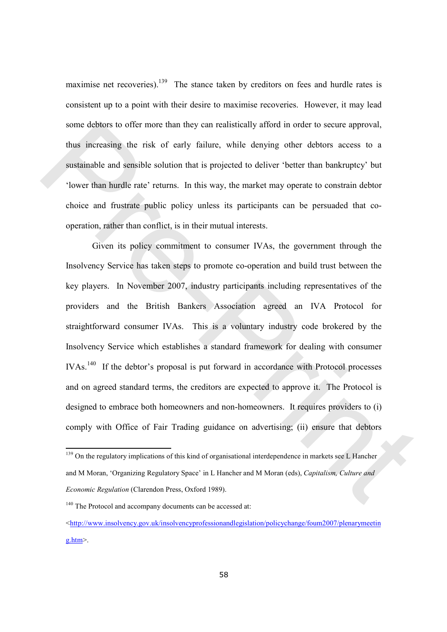maximise net recoveries).<sup>139</sup> The stance taken by creditors on fees and hurdle rates is consistent up to a point with their desire to maximise recoveries. However, it may lead some debtors to offer more than they can realistically afford in order to secure approval, thus increasing the risk of early failure, while denying other debtors access to a sustainable and sensible solution that is projected to deliver 'better than bankruptcy' but 'lower than hurdle rate' returns. In this way, the market may operate to constrain debtor choice and frustrate public policy unless its participants can be persuaded that cooperation, rather than conflict, is in their mutual interests.

Given its policy commitment to consumer IVAs, the government through the Insolvency Service has taken steps to promote co-operation and build trust between the key players. In November 2007, industry participants including representatives of the providers and the British Bankers Association agreed an IVA Protocol for straightforward consumer IVAs. This is a voluntary industry code brokered by the Insolvency Service which establishes a standard framework for dealing with consumer IVAs.<sup>140</sup> If the debtor's proposal is put forward in accordance with Protocol processes and on agreed standard terms, the creditors are expected to approve it. The Protocol is designed to embrace both homeowners and non-homeowners. It requires providers to (i) comply with Office of Fair Trading guidance on advertising; (ii) ensure that debtors some debtors to offer more than they can realistically afford in order to secure approval,<br>thus increasing the risk of early failure, while denying other debtors access to a<br>sustinable and sensible solution that is projec

<sup>&</sup>lt;sup>139</sup> On the regulatory implications of this kind of organisational interdependence in markets see L Hancher and M Moran, 'Organizing Regulatory Space' in L Hancher and M Moran (eds), Capitalism, Culture and Economic Regulation (Clarendon Press, Oxford 1989).

<sup>&</sup>lt;sup>140</sup> The Protocol and accompany documents can be accessed at:

 $\langle$ http://www.insolvency.gov.uk/insolvencyprofessionandlegislation/policychange/foum2007/plenarymeetin g.htm>.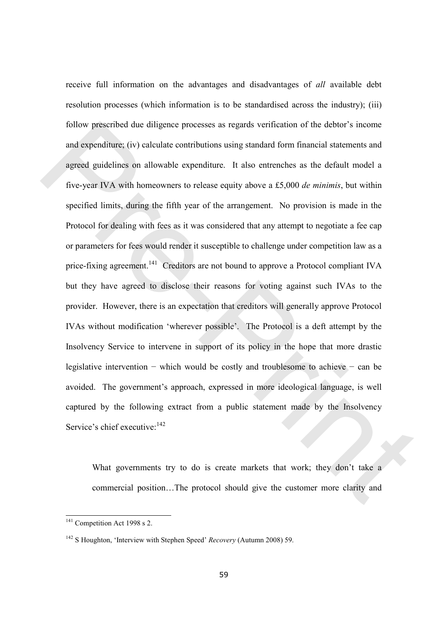receive full information on the advantages and disadvantages of all available debt resolution processes (which information is to be standardised across the industry); (iii) follow prescribed due diligence processes as regards verification of the debtor's income and expenditure; (iv) calculate contributions using standard form financial statements and agreed guidelines on allowable expenditure. It also entrenches as the default model a five-year IVA with homeowners to release equity above a £5,000 de minimis, but within specified limits, during the fifth year of the arrangement. No provision is made in the Protocol for dealing with fees as it was considered that any attempt to negotiate a fee cap or parameters for fees would render it susceptible to challenge under competition law as a price-fixing agreement.<sup>141</sup> Creditors are not bound to approve a Protocol compliant IVA but they have agreed to disclose their reasons for voting against such IVAs to the provider. However, there is an expectation that creditors will generally approve Protocol IVAs without modification 'wherever possible'. The Protocol is a deft attempt by the Insolvency Service to intervene in support of its policy in the hope that more drastic legislative intervention − which would be costly and troublesome to achieve − can be avoided. The government's approach, expressed in more ideological language, is well captured by the following extract from a public statement made by the Insolvency Service's chief executive:  $142$ follow prescribed due diligence processes as regards verification of the debtor's income<br>and expenditure; (iv) calculate contributions using standard form financial statements and<br>agreed guidelines on allowable expenditur

What governments try to do is create markets that work; they don't take a commercial position…The protocol should give the customer more clarity and

 $141$  Competition Act 1998 s 2.

<sup>&</sup>lt;sup>142</sup> S Houghton, 'Interview with Stephen Speed' *Recovery* (Autumn 2008) 59.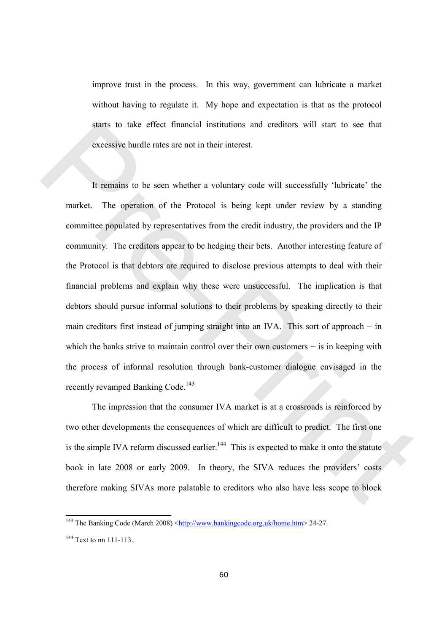improve trust in the process. In this way, government can lubricate a market without having to regulate it. My hope and expectation is that as the protocol starts to take effect financial institutions and creditors will start to see that excessive hurdle rates are not in their interest.

It remains to be seen whether a voluntary code will successfully 'lubricate' the market. The operation of the Protocol is being kept under review by a standing committee populated by representatives from the credit industry, the providers and the IP community. The creditors appear to be hedging their bets. Another interesting feature of the Protocol is that debtors are required to disclose previous attempts to deal with their financial problems and explain why these were unsuccessful. The implication is that debtors should pursue informal solutions to their problems by speaking directly to their main creditors first instead of jumping straight into an IVA. This sort of approach − in which the banks strive to maintain control over their own customers − is in keeping with the process of informal resolution through bank-customer dialogue envisaged in the recently revamped Banking Code.<sup>143</sup> statis to take effect financial institutions and creditors will start to see that<br>excessive hurdle rates are not in their interest.<br>It remains to be seen whether a voluntary code will successfully 'hibricate' the<br>market.

The impression that the consumer IVA market is at a crossroads is reinforced by two other developments the consequences of which are difficult to predict. The first one is the simple IVA reform discussed earlier.<sup>144</sup> This is expected to make it onto the statute book in late 2008 or early 2009. In theory, the SIVA reduces the providers' costs therefore making SIVAs more palatable to creditors who also have less scope to block

<sup>&</sup>lt;sup>143</sup> The Banking Code (March 2008)  $\frac{\text{http://www.bankingcode.org.uk/home.htm}}{24-27}$ .

<sup>144</sup> Text to nn 111-113.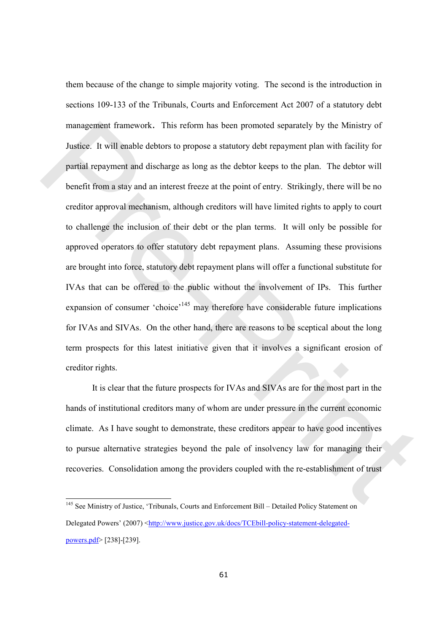them because of the change to simple majority voting. The second is the introduction in sections 109-133 of the Tribunals, Courts and Enforcement Act 2007 of a statutory debt management framework. This reform has been promoted separately by the Ministry of Justice. It will enable debtors to propose a statutory debt repayment plan with facility for partial repayment and discharge as long as the debtor keeps to the plan. The debtor will benefit from a stay and an interest freeze at the point of entry. Strikingly, there will be no creditor approval mechanism, although creditors will have limited rights to apply to court to challenge the inclusion of their debt or the plan terms. It will only be possible for approved operators to offer statutory debt repayment plans. Assuming these provisions are brought into force, statutory debt repayment plans will offer a functional substitute for IVAs that can be offered to the public without the involvement of IPs. This further expansion of consumer 'choice'<sup>145</sup> may therefore have considerable future implications for IVAs and SIVAs. On the other hand, there are reasons to be sceptical about the long term prospects for this latest initiative given that it involves a significant erosion of creditor rights. management framework. This reform has been promoted separately by the Ministry of<br>Justice. It will enable debtors to propose a statutory debt reparyment plan with fieldity for<br>partial reparyment and discharge as long as th

It is clear that the future prospects for IVAs and SIVAs are for the most part in the hands of institutional creditors many of whom are under pressure in the current economic climate. As I have sought to demonstrate, these creditors appear to have good incentives to pursue alternative strategies beyond the pale of insolvency law for managing their recoveries. Consolidation among the providers coupled with the re-establishment of trust

<sup>&</sup>lt;sup>145</sup> See Ministry of Justice, 'Tribunals, Courts and Enforcement Bill - Detailed Policy Statement on Delegated Powers' (2007) <http://www.justice.gov.uk/docs/TCEbill-policy-statement-delegatedpowers.pdf> [238]-[239].